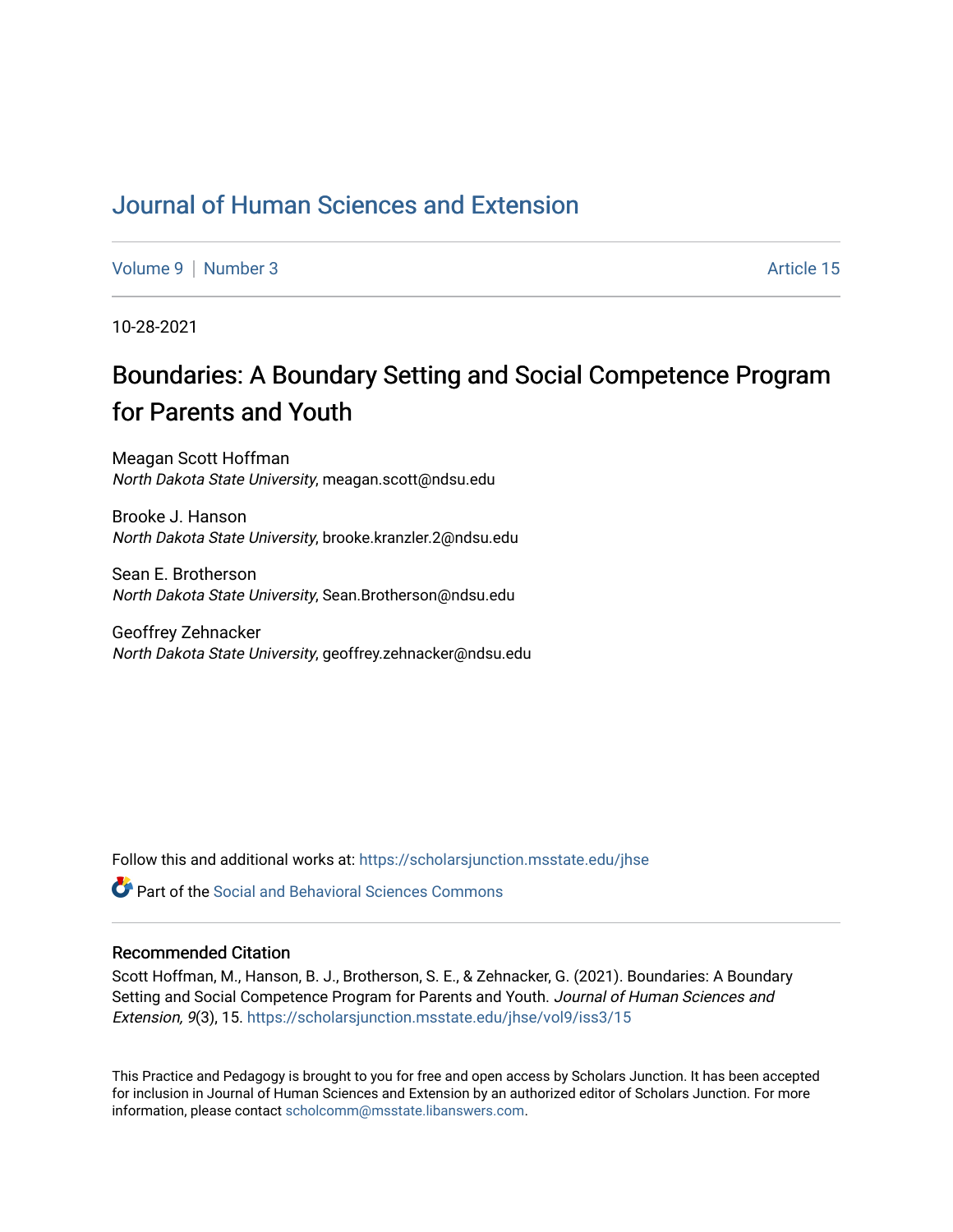## [Journal of Human Sciences and Extension](https://scholarsjunction.msstate.edu/jhse)

[Volume 9](https://scholarsjunction.msstate.edu/jhse/vol9) | [Number 3](https://scholarsjunction.msstate.edu/jhse/vol9/iss3) Article 15

10-28-2021

# Boundaries: A Boundary Setting and Social Competence Program for Parents and Youth

Meagan Scott Hoffman North Dakota State University, meagan.scott@ndsu.edu

Brooke J. Hanson North Dakota State University, brooke.kranzler.2@ndsu.edu

Sean E. Brotherson North Dakota State University, Sean.Brotherson@ndsu.edu

Geoffrey Zehnacker North Dakota State University, geoffrey.zehnacker@ndsu.edu

Follow this and additional works at: [https://scholarsjunction.msstate.edu/jhse](https://scholarsjunction.msstate.edu/jhse?utm_source=scholarsjunction.msstate.edu%2Fjhse%2Fvol9%2Fiss3%2F15&utm_medium=PDF&utm_campaign=PDFCoverPages)

**C** Part of the Social and Behavioral Sciences Commons

#### Recommended Citation

Scott Hoffman, M., Hanson, B. J., Brotherson, S. E., & Zehnacker, G. (2021). Boundaries: A Boundary Setting and Social Competence Program for Parents and Youth. Journal of Human Sciences and Extension, 9(3), 15. [https://scholarsjunction.msstate.edu/jhse/vol9/iss3/15](https://scholarsjunction.msstate.edu/jhse/vol9/iss3/15?utm_source=scholarsjunction.msstate.edu%2Fjhse%2Fvol9%2Fiss3%2F15&utm_medium=PDF&utm_campaign=PDFCoverPages) 

This Practice and Pedagogy is brought to you for free and open access by Scholars Junction. It has been accepted for inclusion in Journal of Human Sciences and Extension by an authorized editor of Scholars Junction. For more information, please contact [scholcomm@msstate.libanswers.com](mailto:scholcomm@msstate.libanswers.com).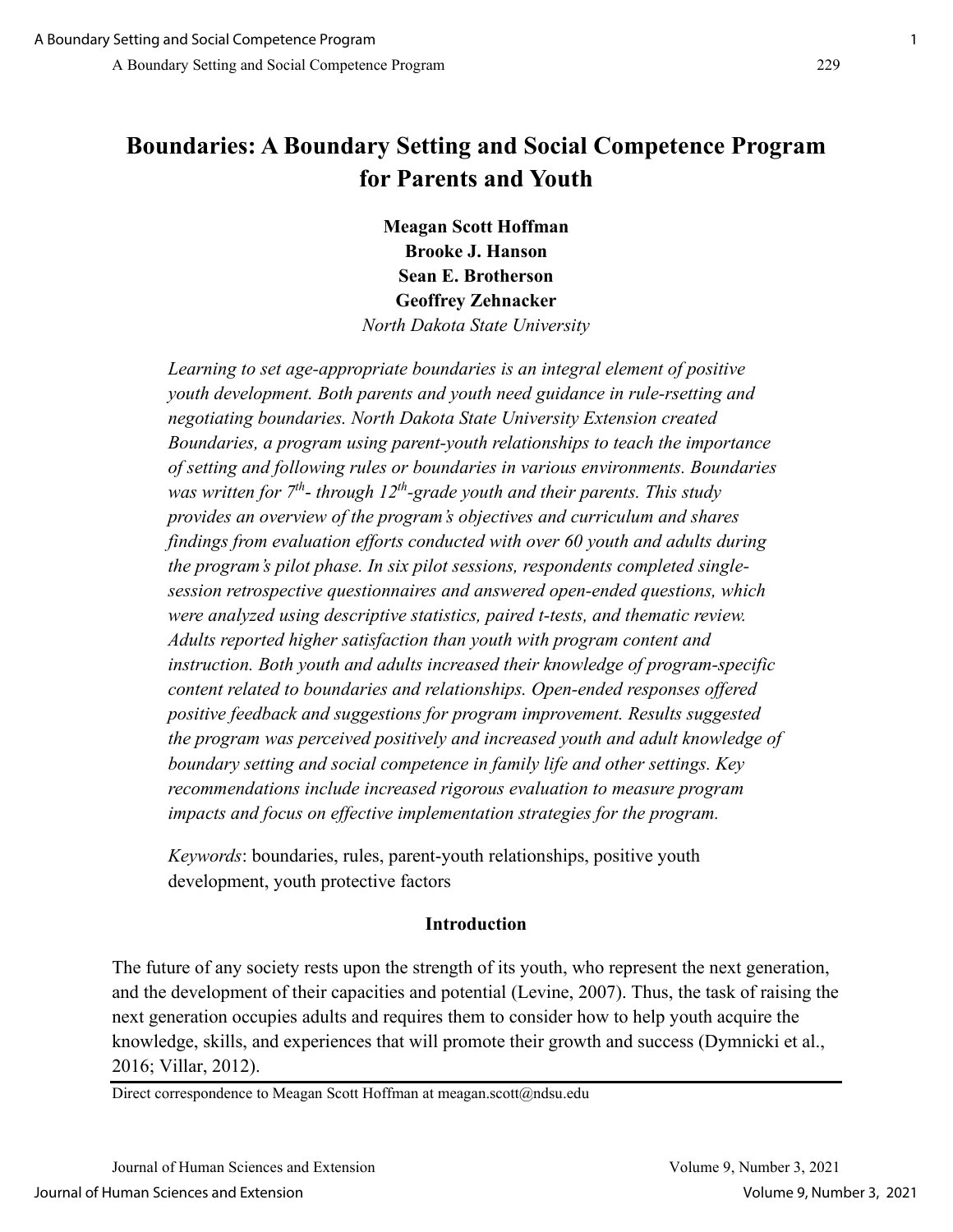## **Boundaries: A Boundary Setting and Social Competence Program for Parents and Youth**

**Meagan Scott Hoffman Brooke J. Hanson Sean E. Brotherson Geoffrey Zehnacker** *North Dakota State University*

*Learning to set age-appropriate boundaries is an integral element of positive youth development. Both parents and youth need guidance in rule-rsetting and negotiating boundaries. North Dakota State University Extension created Boundaries, a program using parent-youth relationships to teach the importance of setting and following rules or boundaries in various environments. Boundaries was written for 7th*- *through 12th-grade youth and their parents. This study provides an overview of the program's objectives and curriculum and shares findings from evaluation efforts conducted with over 60 youth and adults during the program's pilot phase. In six pilot sessions, respondents completed singlesession retrospective questionnaires and answered open-ended questions, which were analyzed using descriptive statistics, paired t-tests, and thematic review. Adults reported higher satisfaction than youth with program content and instruction. Both youth and adults increased their knowledge of program-specific content related to boundaries and relationships. Open-ended responses offered positive feedback and suggestions for program improvement. Results suggested the program was perceived positively and increased youth and adult knowledge of boundary setting and social competence in family life and other settings. Key recommendations include increased rigorous evaluation to measure program impacts and focus on effective implementation strategies for the program.* 

*Keywords*: boundaries, rules, parent-youth relationships, positive youth development, youth protective factors

## **Introduction**

The future of any society rests upon the strength of its youth, who represent the next generation, and the development of their capacities and potential (Levine, 2007). Thus, the task of raising the next generation occupies adults and requires them to consider how to help youth acquire the knowledge, skills, and experiences that will promote their growth and success (Dymnicki et al., 2016; Villar, 2012).

Direct correspondence to Meagan Scott Hoffman at meagan.scott@ndsu.edu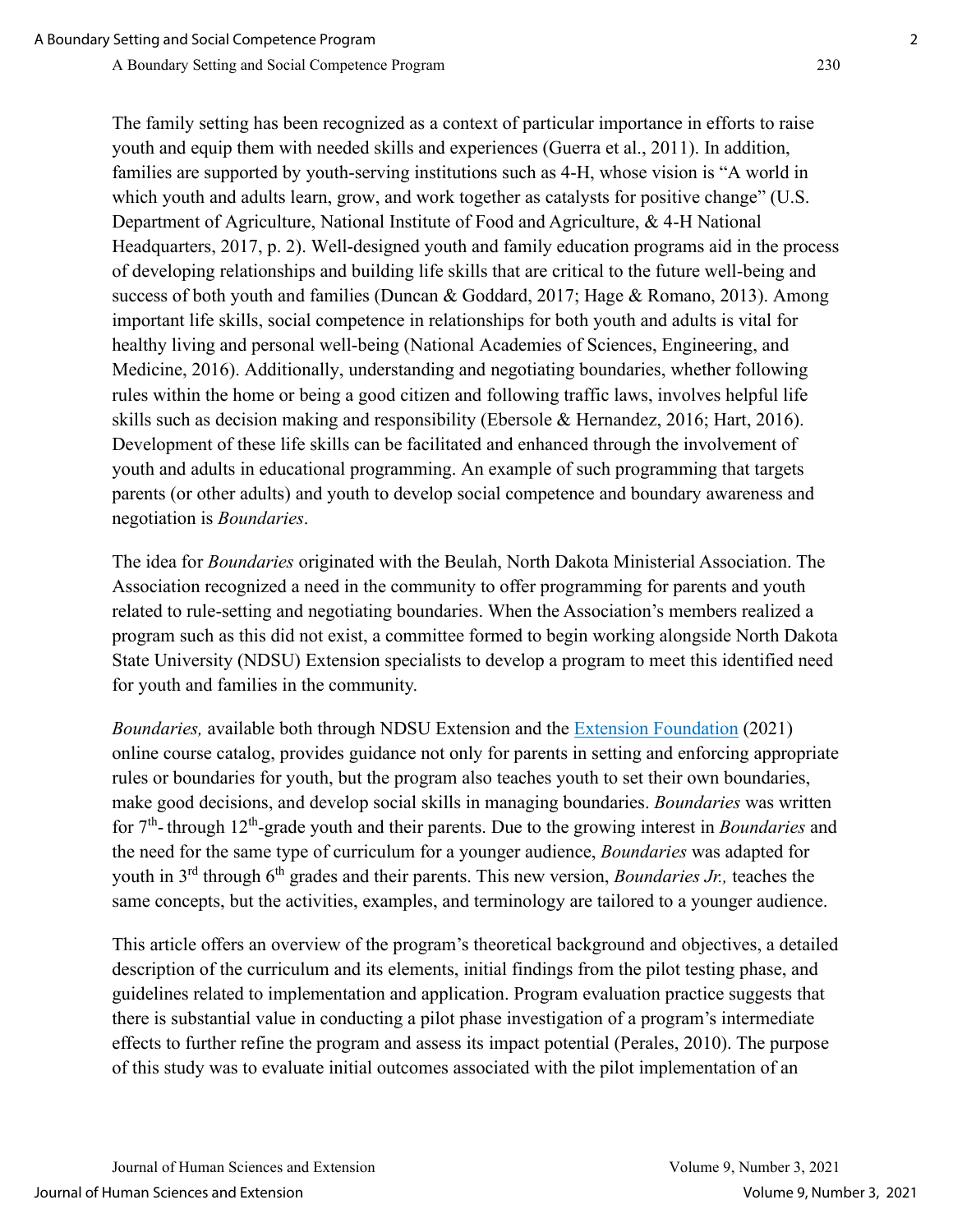The family setting has been recognized as a context of particular importance in efforts to raise youth and equip them with needed skills and experiences (Guerra et al., 2011). In addition, families are supported by youth-serving institutions such as 4-H, whose vision is "A world in which youth and adults learn, grow, and work together as catalysts for positive change" (U.S. Department of Agriculture, National Institute of Food and Agriculture, & 4-H National Headquarters, 2017, p. 2). Well-designed youth and family education programs aid in the process of developing relationships and building life skills that are critical to the future well-being and success of both youth and families (Duncan & Goddard, 2017; Hage & Romano, 2013). Among important life skills, social competence in relationships for both youth and adults is vital for healthy living and personal well-being (National Academies of Sciences, Engineering, and Medicine, 2016). Additionally, understanding and negotiating boundaries, whether following rules within the home or being a good citizen and following traffic laws, involves helpful life skills such as decision making and responsibility (Ebersole & Hernandez, 2016; Hart, 2016). Development of these life skills can be facilitated and enhanced through the involvement of youth and adults in educational programming. An example of such programming that targets parents (or other adults) and youth to develop social competence and boundary awareness and negotiation is *Boundaries*.

The idea for *Boundaries* originated with the Beulah, North Dakota Ministerial Association. The Association recognized a need in the community to offer programming for parents and youth related to rule-setting and negotiating boundaries. When the Association's members realized a program such as this did not exist, a committee formed to begin working alongside North Dakota State University (NDSU) Extension specialists to develop a program to meet this identified need for youth and families in the community.

*Boundaries,* available both through NDSU Extension and the [Extension Foundation](https://catalog.extension.org/) (2021) online course catalog, provides guidance not only for parents in setting and enforcing appropriate rules or boundaries for youth, but the program also teaches youth to set their own boundaries, make good decisions, and develop social skills in managing boundaries. *Boundaries* was written for 7th- through 12th-grade youth and their parents. Due to the growing interest in *Boundaries* and the need for the same type of curriculum for a younger audience, *Boundaries* was adapted for youth in 3<sup>rd</sup> through 6<sup>th</sup> grades and their parents. This new version, *Boundaries Jr.*, teaches the same concepts, but the activities, examples, and terminology are tailored to a younger audience.

This article offers an overview of the program's theoretical background and objectives, a detailed description of the curriculum and its elements, initial findings from the pilot testing phase, and guidelines related to implementation and application. Program evaluation practice suggests that there is substantial value in conducting a pilot phase investigation of a program's intermediate effects to further refine the program and assess its impact potential (Perales, 2010). The purpose of this study was to evaluate initial outcomes associated with the pilot implementation of an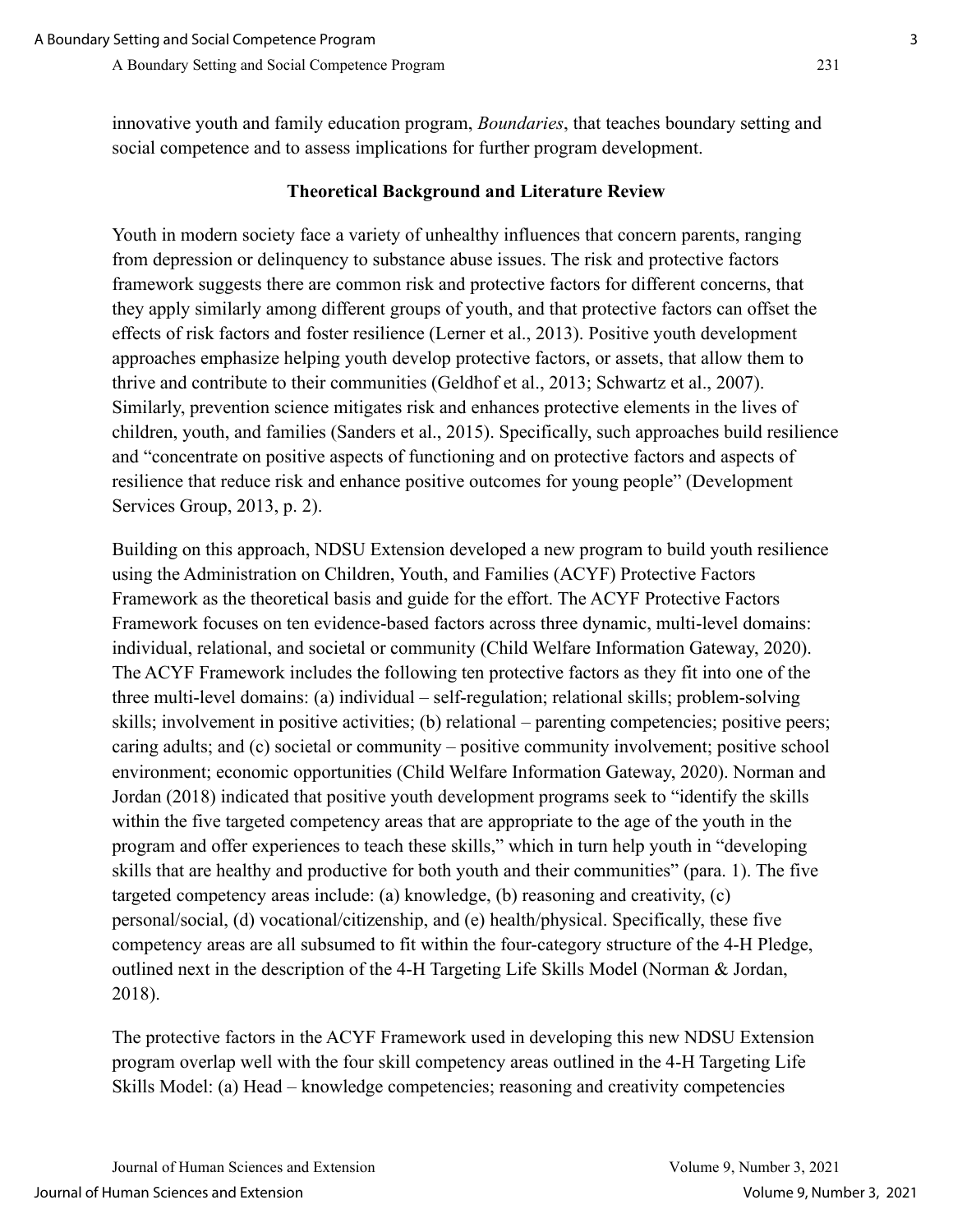## **Theoretical Background and Literature Review**

Youth in modern society face a variety of unhealthy influences that concern parents, ranging from depression or delinquency to substance abuse issues. The risk and protective factors framework suggests there are common risk and protective factors for different concerns, that they apply similarly among different groups of youth, and that protective factors can offset the effects of risk factors and foster resilience (Lerner et al., 2013). Positive youth development approaches emphasize helping youth develop protective factors, or assets, that allow them to thrive and contribute to their communities (Geldhof et al., 2013; Schwartz et al., 2007). Similarly, prevention science mitigates risk and enhances protective elements in the lives of children, youth, and families (Sanders et al., 2015). Specifically, such approaches build resilience and "concentrate on positive aspects of functioning and on protective factors and aspects of resilience that reduce risk and enhance positive outcomes for young people" (Development Services Group, 2013, p. 2).

Building on this approach, NDSU Extension developed a new program to build youth resilience using the Administration on Children, Youth, and Families (ACYF) Protective Factors Framework as the theoretical basis and guide for the effort. The ACYF Protective Factors Framework focuses on ten evidence-based factors across three dynamic, multi-level domains: individual, relational, and societal or community (Child Welfare Information Gateway, 2020). The ACYF Framework includes the following ten protective factors as they fit into one of the three multi-level domains: (a) individual – self-regulation; relational skills; problem-solving skills; involvement in positive activities; (b) relational – parenting competencies; positive peers; caring adults; and (c) societal or community – positive community involvement; positive school environment; economic opportunities (Child Welfare Information Gateway, 2020). Norman and Jordan (2018) indicated that positive youth development programs seek to "identify the skills within the five targeted competency areas that are appropriate to the age of the youth in the program and offer experiences to teach these skills," which in turn help youth in "developing skills that are healthy and productive for both youth and their communities" (para. 1). The five targeted competency areas include: (a) knowledge, (b) reasoning and creativity, (c) personal/social, (d) vocational/citizenship, and (e) health/physical. Specifically, these five competency areas are all subsumed to fit within the four-category structure of the 4-H Pledge, outlined next in the description of the 4-H Targeting Life Skills Model (Norman & Jordan, 2018).

The protective factors in the ACYF Framework used in developing this new NDSU Extension program overlap well with the four skill competency areas outlined in the 4-H Targeting Life Skills Model: (a) Head – knowledge competencies; reasoning and creativity competencies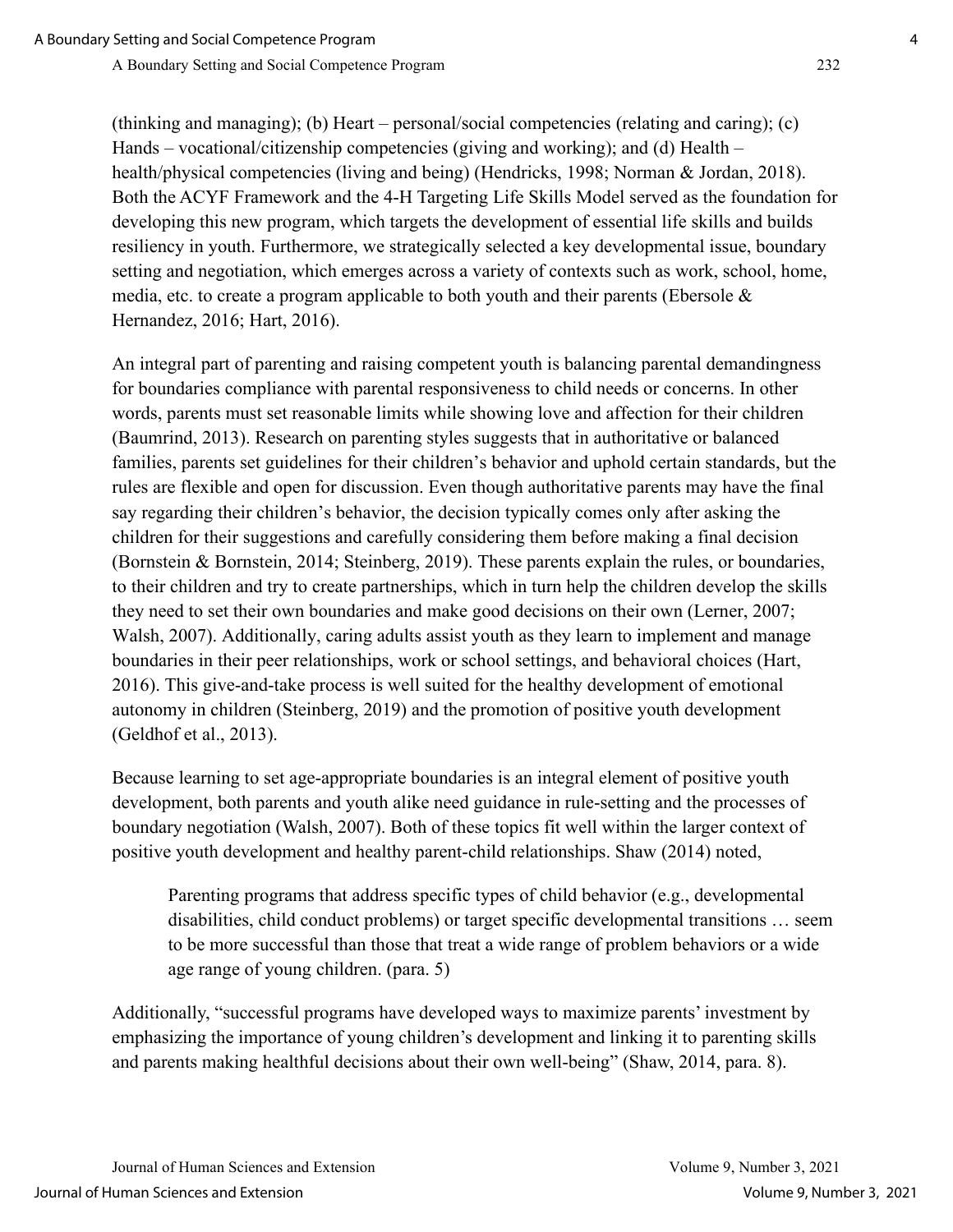(thinking and managing); (b) Heart – personal/social competencies (relating and caring); (c) Hands – vocational/citizenship competencies (giving and working); and (d) Health – health/physical competencies (living and being) (Hendricks, 1998; Norman & Jordan, 2018). Both the ACYF Framework and the 4-H Targeting Life Skills Model served as the foundation for developing this new program, which targets the development of essential life skills and builds resiliency in youth. Furthermore, we strategically selected a key developmental issue, boundary setting and negotiation, which emerges across a variety of contexts such as work, school, home, media, etc. to create a program applicable to both youth and their parents (Ebersole  $\&$ Hernandez, 2016; Hart, 2016).

An integral part of parenting and raising competent youth is balancing parental demandingness for boundaries compliance with parental responsiveness to child needs or concerns. In other words, parents must set reasonable limits while showing love and affection for their children (Baumrind, 2013). Research on parenting styles suggests that in authoritative or balanced families, parents set guidelines for their children's behavior and uphold certain standards, but the rules are flexible and open for discussion. Even though authoritative parents may have the final say regarding their children's behavior, the decision typically comes only after asking the children for their suggestions and carefully considering them before making a final decision (Bornstein & Bornstein, 2014; Steinberg, 2019). These parents explain the rules, or boundaries, to their children and try to create partnerships, which in turn help the children develop the skills they need to set their own boundaries and make good decisions on their own (Lerner, 2007; Walsh, 2007). Additionally, caring adults assist youth as they learn to implement and manage boundaries in their peer relationships, work or school settings, and behavioral choices (Hart, 2016). This give-and-take process is well suited for the healthy development of emotional autonomy in children (Steinberg, 2019) and the promotion of positive youth development (Geldhof et al., 2013).

Because learning to set age-appropriate boundaries is an integral element of positive youth development, both parents and youth alike need guidance in rule-setting and the processes of boundary negotiation (Walsh, 2007). Both of these topics fit well within the larger context of positive youth development and healthy parent-child relationships. Shaw (2014) noted,

Parenting programs that address specific types of child behavior (e.g., developmental disabilities, child conduct problems) or target specific developmental transitions … seem to be more successful than those that treat a wide range of problem behaviors or a wide age range of young children. (para. 5)

Additionally, "successful programs have developed ways to maximize parents' investment by emphasizing the importance of young children's development and linking it to parenting skills and parents making healthful decisions about their own well-being" (Shaw, 2014, para. 8).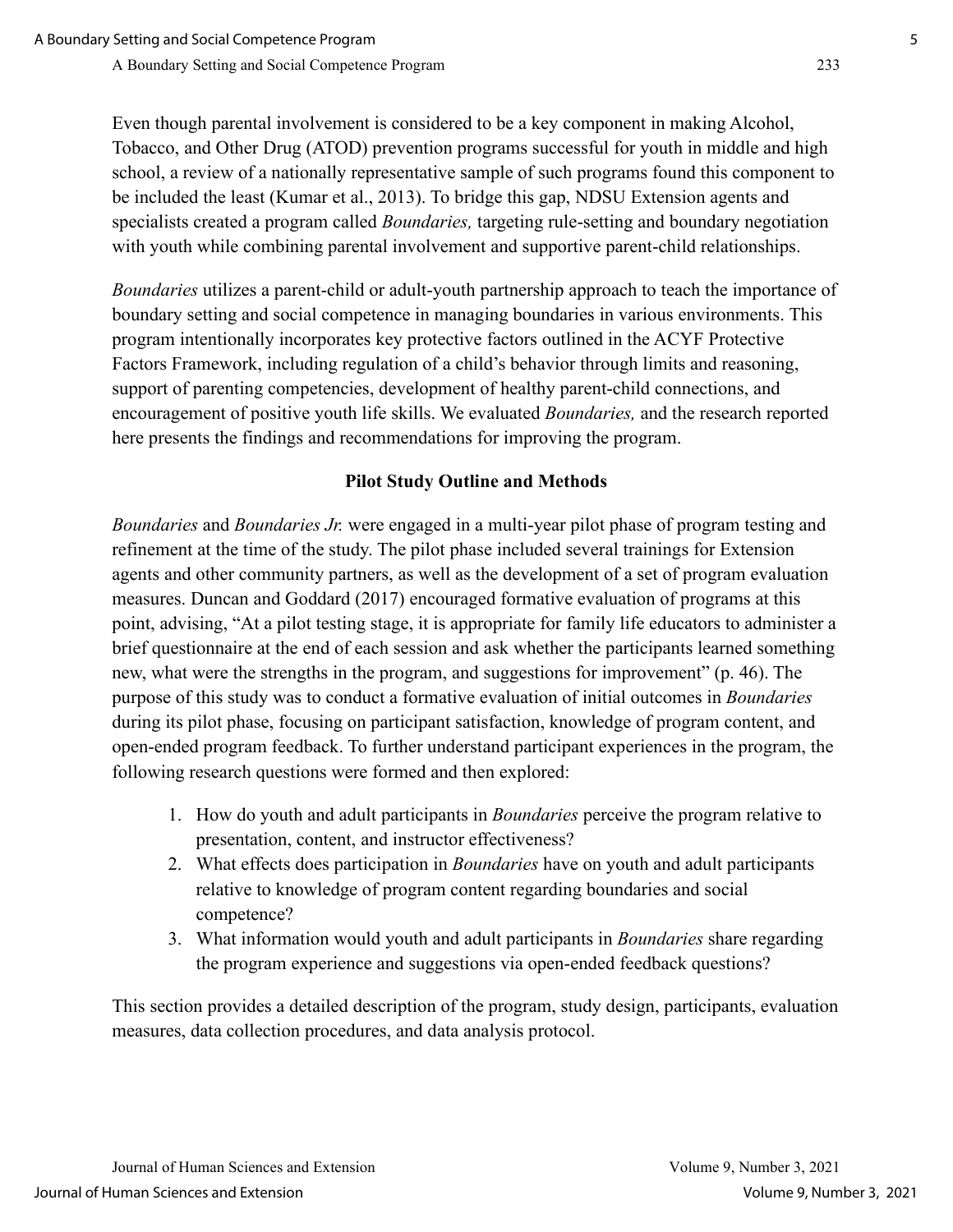Even though parental involvement is considered to be a key component in making Alcohol, Tobacco, and Other Drug (ATOD) prevention programs successful for youth in middle and high school, a review of a nationally representative sample of such programs found this component to be included the least (Kumar et al., 2013). To bridge this gap, NDSU Extension agents and specialists created a program called *Boundaries,* targeting rule-setting and boundary negotiation with youth while combining parental involvement and supportive parent-child relationships.

*Boundaries* utilizes a parent-child or adult-youth partnership approach to teach the importance of boundary setting and social competence in managing boundaries in various environments. This program intentionally incorporates key protective factors outlined in the ACYF Protective Factors Framework, including regulation of a child's behavior through limits and reasoning, support of parenting competencies, development of healthy parent-child connections, and encouragement of positive youth life skills. We evaluated *Boundaries,* and the research reported here presents the findings and recommendations for improving the program.

## **Pilot Study Outline and Methods**

*Boundaries* and *Boundaries Jr.* were engaged in a multi-year pilot phase of program testing and refinement at the time of the study. The pilot phase included several trainings for Extension agents and other community partners, as well as the development of a set of program evaluation measures. Duncan and Goddard (2017) encouraged formative evaluation of programs at this point, advising, "At a pilot testing stage, it is appropriate for family life educators to administer a brief questionnaire at the end of each session and ask whether the participants learned something new, what were the strengths in the program, and suggestions for improvement" (p. 46). The purpose of this study was to conduct a formative evaluation of initial outcomes in *Boundaries* during its pilot phase, focusing on participant satisfaction, knowledge of program content, and open-ended program feedback. To further understand participant experiences in the program, the following research questions were formed and then explored:

- 1. How do youth and adult participants in *Boundaries* perceive the program relative to presentation, content, and instructor effectiveness?
- 2. What effects does participation in *Boundaries* have on youth and adult participants relative to knowledge of program content regarding boundaries and social competence?
- 3. What information would youth and adult participants in *Boundaries* share regarding the program experience and suggestions via open-ended feedback questions?

This section provides a detailed description of the program, study design, participants, evaluation measures, data collection procedures, and data analysis protocol.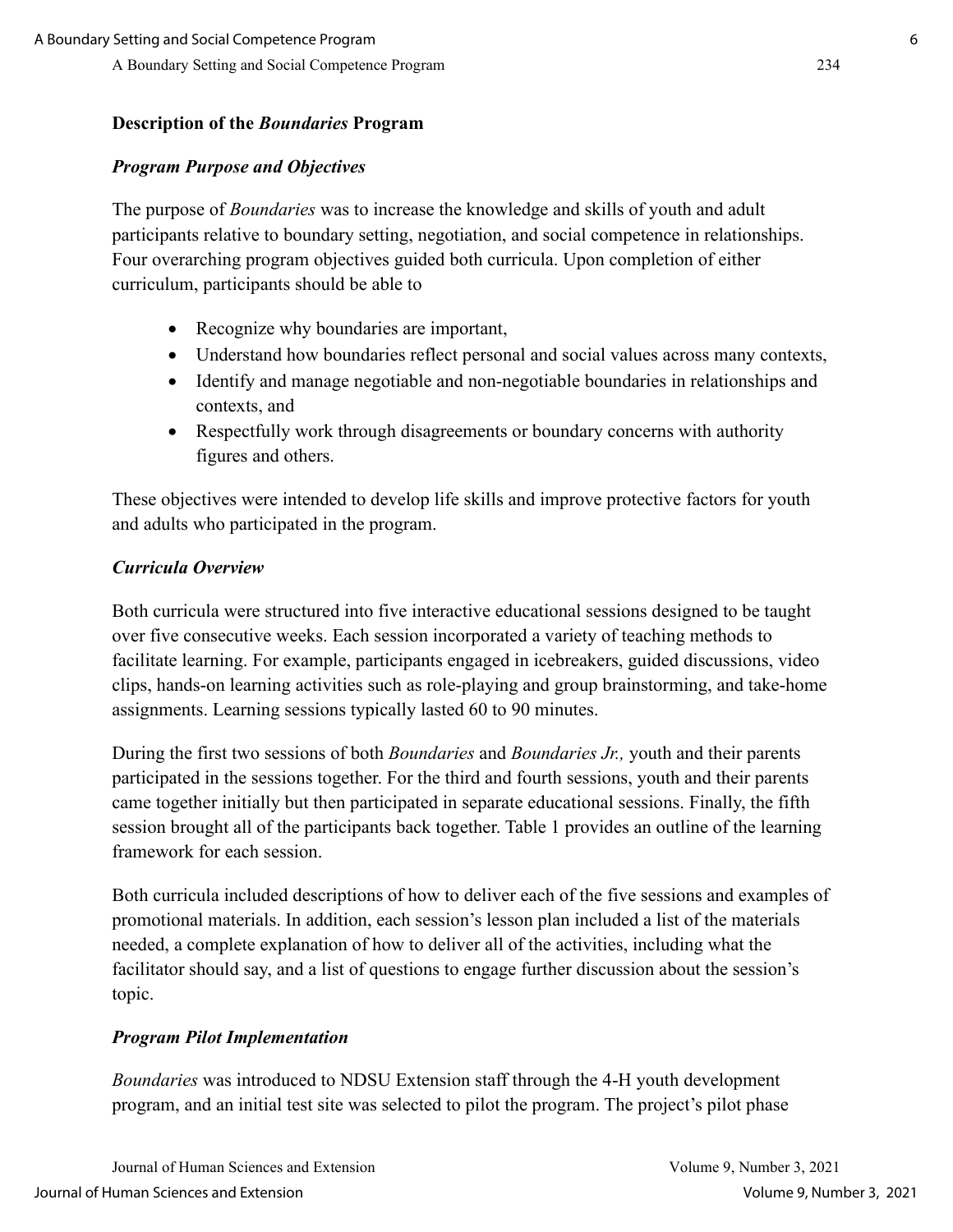#### **Description of the** *Boundaries* **Program**

#### *Program Purpose and Objectives*

The purpose of *Boundaries* was to increase the knowledge and skills of youth and adult participants relative to boundary setting, negotiation, and social competence in relationships. Four overarching program objectives guided both curricula. Upon completion of either curriculum, participants should be able to

- Recognize why boundaries are important,
- Understand how boundaries reflect personal and social values across many contexts,
- Identify and manage negotiable and non-negotiable boundaries in relationships and contexts, and
- Respectfully work through disagreements or boundary concerns with authority figures and others.

These objectives were intended to develop life skills and improve protective factors for youth and adults who participated in the program.

#### *Curricula Overview*

Both curricula were structured into five interactive educational sessions designed to be taught over five consecutive weeks. Each session incorporated a variety of teaching methods to facilitate learning. For example, participants engaged in icebreakers, guided discussions, video clips, hands-on learning activities such as role-playing and group brainstorming, and take-home assignments. Learning sessions typically lasted 60 to 90 minutes.

During the first two sessions of both *Boundaries* and *Boundaries Jr.,* youth and their parents participated in the sessions together. For the third and fourth sessions, youth and their parents came together initially but then participated in separate educational sessions. Finally, the fifth session brought all of the participants back together. Table 1 provides an outline of the learning framework for each session.

Both curricula included descriptions of how to deliver each of the five sessions and examples of promotional materials. In addition, each session's lesson plan included a list of the materials needed, a complete explanation of how to deliver all of the activities, including what the facilitator should say, and a list of questions to engage further discussion about the session's topic.

#### *Program Pilot Implementation*

*Boundaries* was introduced to NDSU Extension staff through the 4-H youth development program, and an initial test site was selected to pilot the program. The project's pilot phase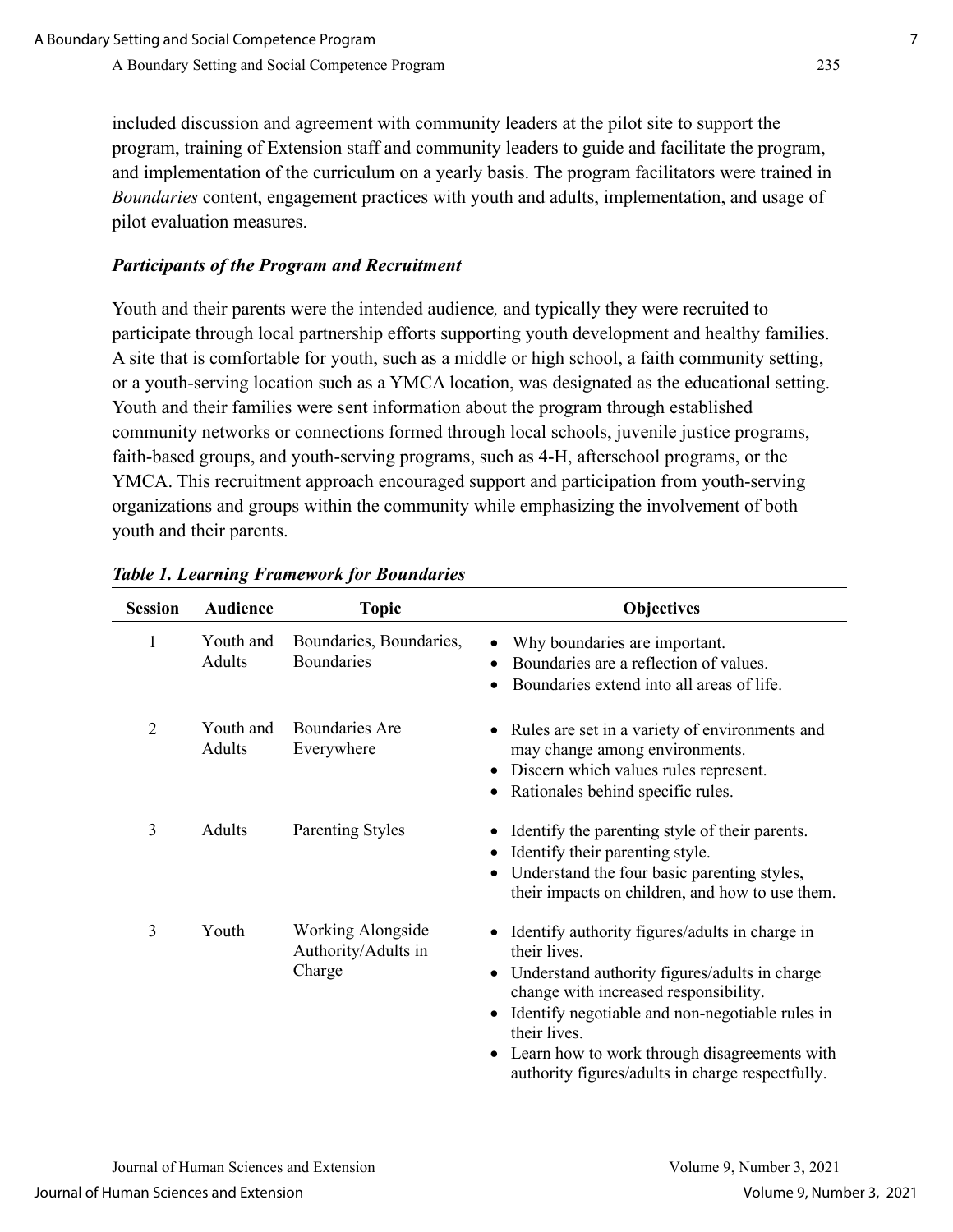included discussion and agreement with community leaders at the pilot site to support the program, training of Extension staff and community leaders to guide and facilitate the program, and implementation of the curriculum on a yearly basis. The program facilitators were trained in *Boundaries* content, engagement practices with youth and adults, implementation, and usage of pilot evaluation measures.

## *Participants of the Program and Recruitment*

Youth and their parents were the intended audience*,* and typically they were recruited to participate through local partnership efforts supporting youth development and healthy families. A site that is comfortable for youth, such as a middle or high school, a faith community setting, or a youth-serving location such as a YMCA location, was designated as the educational setting. Youth and their families were sent information about the program through established community networks or connections formed through local schools, juvenile justice programs, faith-based groups, and youth-serving programs, such as 4-H, afterschool programs, or the YMCA. This recruitment approach encouraged support and participation from youth-serving organizations and groups within the community while emphasizing the involvement of both youth and their parents.

| <b>Session</b> | <b>Audience</b>     | <b>Topic</b>                                       | <b>Objectives</b>                                                                                                                                                                                                                                                                                                                            |  |  |
|----------------|---------------------|----------------------------------------------------|----------------------------------------------------------------------------------------------------------------------------------------------------------------------------------------------------------------------------------------------------------------------------------------------------------------------------------------------|--|--|
| $\mathbf{1}$   | Youth and<br>Adults | Boundaries, Boundaries,<br><b>Boundaries</b>       | Why boundaries are important.<br>Boundaries are a reflection of values.<br>Boundaries extend into all areas of life.<br>$\bullet$                                                                                                                                                                                                            |  |  |
| $\overline{2}$ | Youth and<br>Adults | Boundaries Are<br>Everywhere                       | Rules are set in a variety of environments and<br>may change among environments.<br>Discern which values rules represent.<br>Rationales behind specific rules.                                                                                                                                                                               |  |  |
| 3              | Adults              | <b>Parenting Styles</b>                            | Identify the parenting style of their parents.<br>Identify their parenting style.<br>Understand the four basic parenting styles,<br>their impacts on children, and how to use them.                                                                                                                                                          |  |  |
| 3              | Youth               | Working Alongside<br>Authority/Adults in<br>Charge | Identify authority figures/adults in charge in<br>their lives.<br>Understand authority figures/adults in charge<br>$\bullet$<br>change with increased responsibility.<br>Identify negotiable and non-negotiable rules in<br>their lives.<br>Learn how to work through disagreements with<br>authority figures/adults in charge respectfully. |  |  |

## *Table 1. Learning Framework for Boundaries*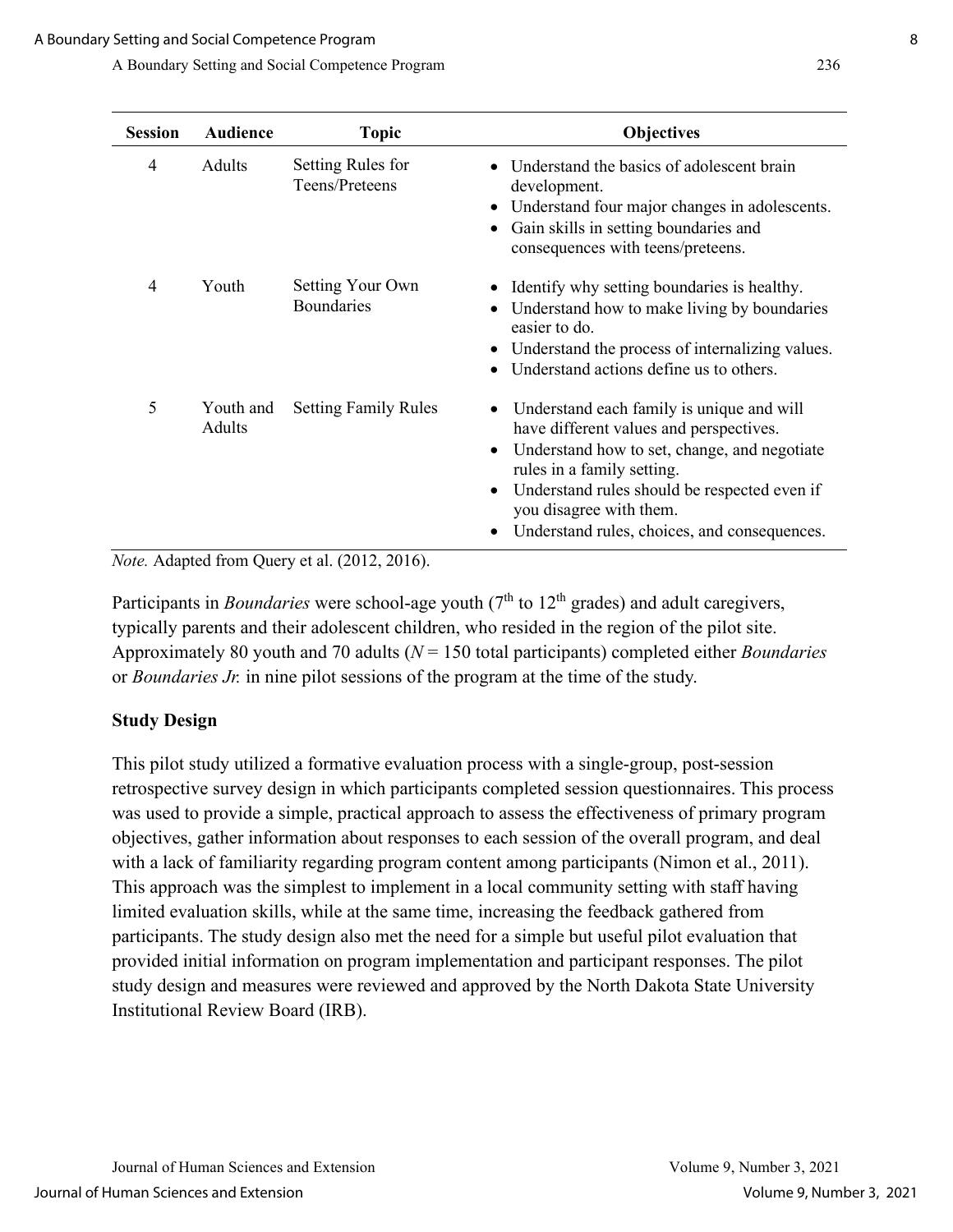| <b>Session</b> | <b>Audience</b>     | <b>Topic</b>                          | <b>Objectives</b>                                                                                                                                                                                                                                                                                                 |
|----------------|---------------------|---------------------------------------|-------------------------------------------------------------------------------------------------------------------------------------------------------------------------------------------------------------------------------------------------------------------------------------------------------------------|
| 4              | Adults              | Setting Rules for<br>Teens/Preteens   | Understand the basics of adolescent brain<br>development.<br>Understand four major changes in adolescents.<br>٠<br>Gain skills in setting boundaries and<br>$\bullet$<br>consequences with teens/preteens.                                                                                                        |
| 4              | Youth               | Setting Your Own<br><b>Boundaries</b> | Identify why setting boundaries is healthy.<br>Understand how to make living by boundaries<br>٠<br>easier to do.<br>Understand the process of internalizing values.<br>٠<br>Understand actions define us to others.<br>$\bullet$                                                                                  |
| 5              | Youth and<br>Adults | <b>Setting Family Rules</b>           | Understand each family is unique and will<br>٠<br>have different values and perspectives.<br>Understand how to set, change, and negotiate<br>٠<br>rules in a family setting.<br>Understand rules should be respected even if<br>٠<br>you disagree with them.<br>Understand rules, choices, and consequences.<br>٠ |

*Note.* Adapted from Query et al. (2012, 2016).

Participants in *Boundaries* were school-age youth (7<sup>th</sup> to 12<sup>th</sup> grades) and adult caregivers, typically parents and their adolescent children, who resided in the region of the pilot site. Approximately 80 youth and 70 adults (*N* = 150 total participants) completed either *Boundaries*  or *Boundaries Jr.* in nine pilot sessions of the program at the time of the study.

#### **Study Design**

This pilot study utilized a formative evaluation process with a single-group, post-session retrospective survey design in which participants completed session questionnaires. This process was used to provide a simple, practical approach to assess the effectiveness of primary program objectives, gather information about responses to each session of the overall program, and deal with a lack of familiarity regarding program content among participants (Nimon et al., 2011). This approach was the simplest to implement in a local community setting with staff having limited evaluation skills, while at the same time, increasing the feedback gathered from participants. The study design also met the need for a simple but useful pilot evaluation that provided initial information on program implementation and participant responses. The pilot study design and measures were reviewed and approved by the North Dakota State University Institutional Review Board (IRB).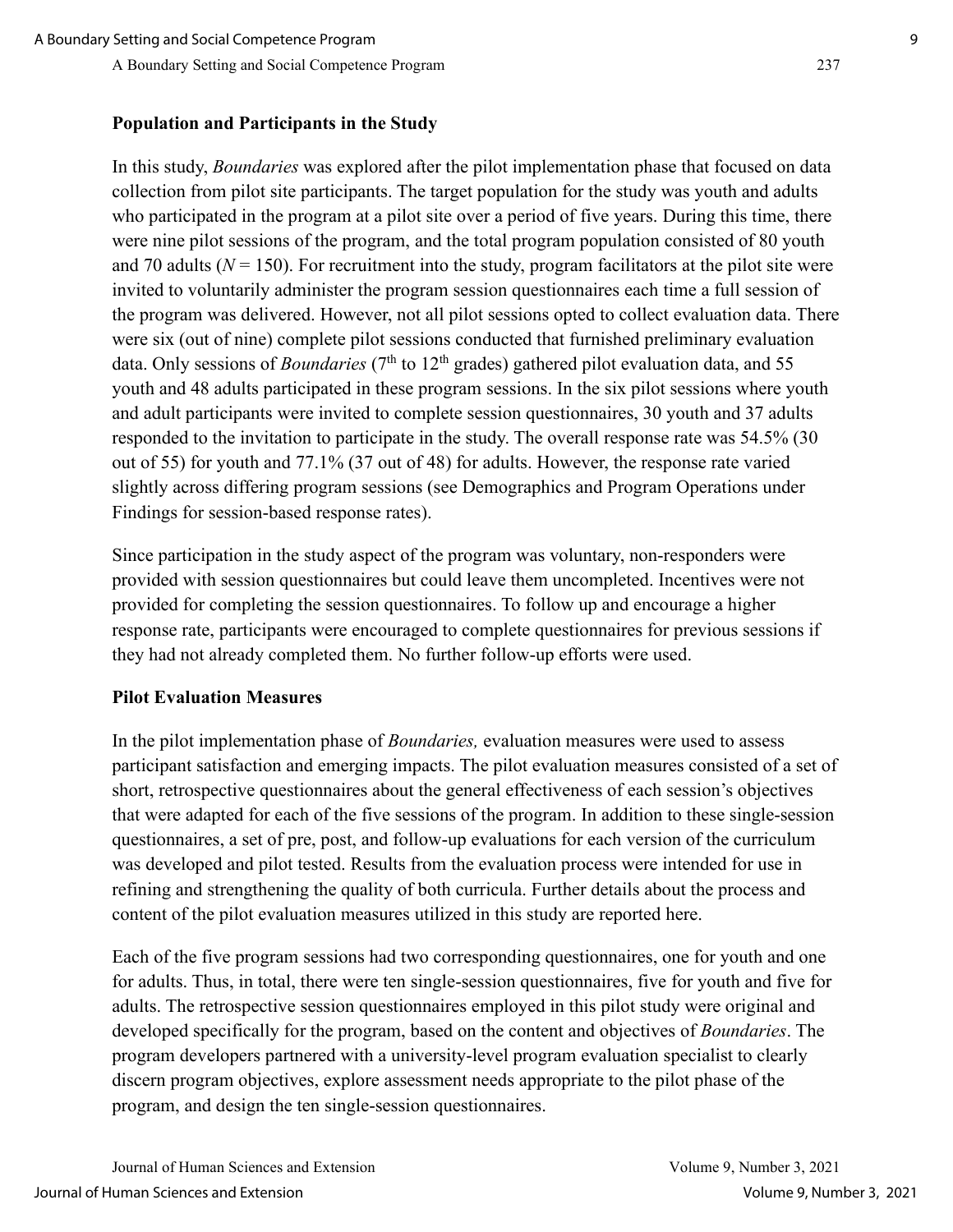## **Population and Participants in the Study**

In this study, *Boundaries* was explored after the pilot implementation phase that focused on data collection from pilot site participants. The target population for the study was youth and adults who participated in the program at a pilot site over a period of five years. During this time, there were nine pilot sessions of the program, and the total program population consisted of 80 youth and 70 adults ( $N = 150$ ). For recruitment into the study, program facilitators at the pilot site were invited to voluntarily administer the program session questionnaires each time a full session of the program was delivered. However, not all pilot sessions opted to collect evaluation data. There were six (out of nine) complete pilot sessions conducted that furnished preliminary evaluation data. Only sessions of *Boundaries* ( $7<sup>th</sup>$  to  $12<sup>th</sup>$  grades) gathered pilot evaluation data, and 55 youth and 48 adults participated in these program sessions. In the six pilot sessions where youth and adult participants were invited to complete session questionnaires, 30 youth and 37 adults responded to the invitation to participate in the study. The overall response rate was 54.5% (30 out of 55) for youth and 77.1% (37 out of 48) for adults. However, the response rate varied slightly across differing program sessions (see Demographics and Program Operations under Findings for session-based response rates).

Since participation in the study aspect of the program was voluntary, non-responders were provided with session questionnaires but could leave them uncompleted. Incentives were not provided for completing the session questionnaires. To follow up and encourage a higher response rate, participants were encouraged to complete questionnaires for previous sessions if they had not already completed them. No further follow-up efforts were used.

#### **Pilot Evaluation Measures**

In the pilot implementation phase of *Boundaries,* evaluation measures were used to assess participant satisfaction and emerging impacts. The pilot evaluation measures consisted of a set of short, retrospective questionnaires about the general effectiveness of each session's objectives that were adapted for each of the five sessions of the program. In addition to these single-session questionnaires, a set of pre, post, and follow-up evaluations for each version of the curriculum was developed and pilot tested. Results from the evaluation process were intended for use in refining and strengthening the quality of both curricula. Further details about the process and content of the pilot evaluation measures utilized in this study are reported here.

Each of the five program sessions had two corresponding questionnaires, one for youth and one for adults. Thus, in total, there were ten single-session questionnaires, five for youth and five for adults. The retrospective session questionnaires employed in this pilot study were original and developed specifically for the program, based on the content and objectives of *Boundaries*. The program developers partnered with a university-level program evaluation specialist to clearly discern program objectives, explore assessment needs appropriate to the pilot phase of the program, and design the ten single-session questionnaires.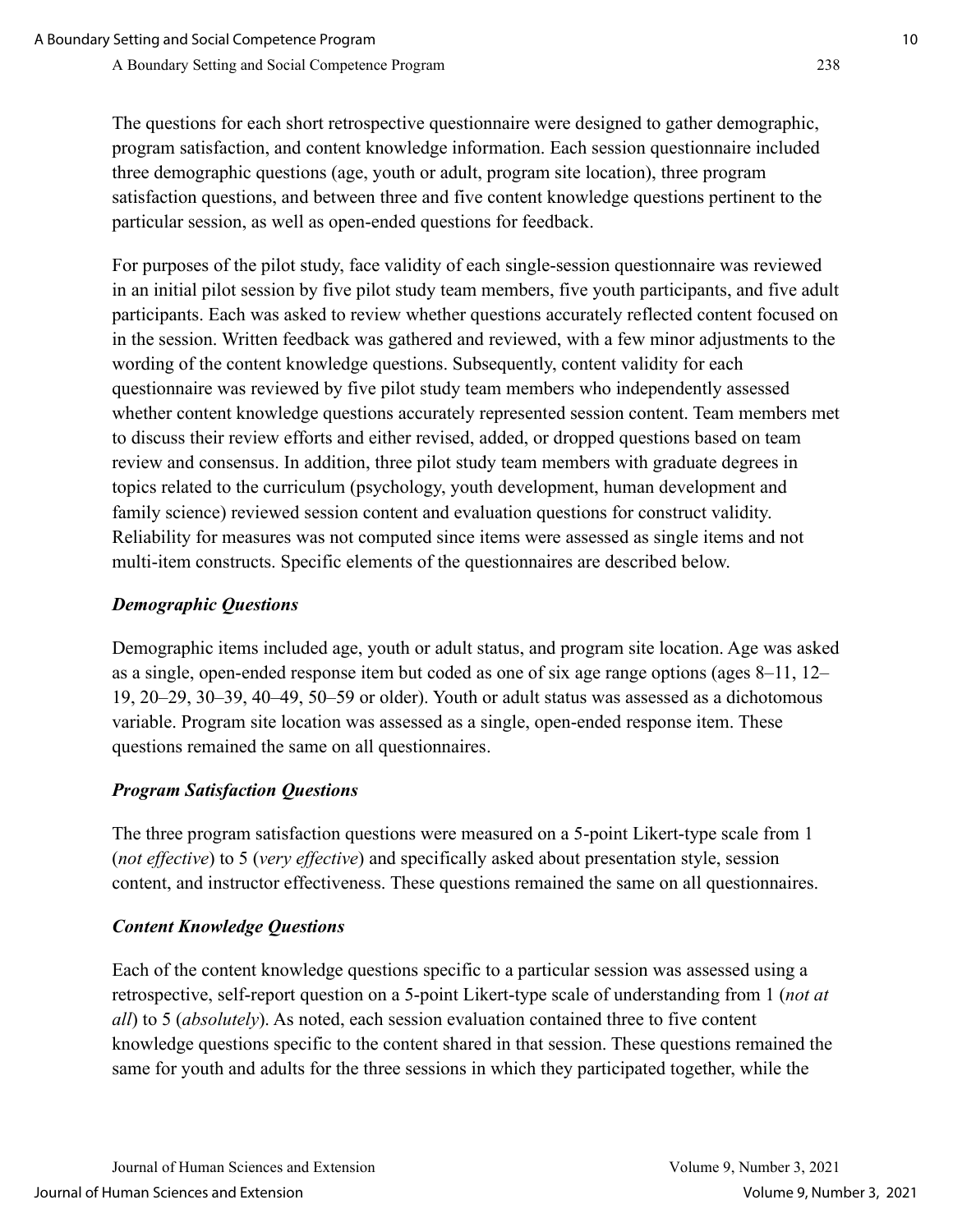The questions for each short retrospective questionnaire were designed to gather demographic, program satisfaction, and content knowledge information. Each session questionnaire included three demographic questions (age, youth or adult, program site location), three program satisfaction questions, and between three and five content knowledge questions pertinent to the particular session, as well as open-ended questions for feedback.

For purposes of the pilot study, face validity of each single-session questionnaire was reviewed in an initial pilot session by five pilot study team members, five youth participants, and five adult participants. Each was asked to review whether questions accurately reflected content focused on in the session. Written feedback was gathered and reviewed, with a few minor adjustments to the wording of the content knowledge questions. Subsequently, content validity for each questionnaire was reviewed by five pilot study team members who independently assessed whether content knowledge questions accurately represented session content. Team members met to discuss their review efforts and either revised, added, or dropped questions based on team review and consensus. In addition, three pilot study team members with graduate degrees in topics related to the curriculum (psychology, youth development, human development and family science) reviewed session content and evaluation questions for construct validity. Reliability for measures was not computed since items were assessed as single items and not multi-item constructs. Specific elements of the questionnaires are described below.

## *Demographic Questions*

Demographic items included age, youth or adult status, and program site location. Age was asked as a single, open-ended response item but coded as one of six age range options (ages 8–11, 12– 19, 20–29, 30–39, 40–49, 50–59 or older). Youth or adult status was assessed as a dichotomous variable. Program site location was assessed as a single, open-ended response item. These questions remained the same on all questionnaires.

## *Program Satisfaction Questions*

The three program satisfaction questions were measured on a 5-point Likert-type scale from 1 (*not effective*) to 5 (*very effective*) and specifically asked about presentation style, session content, and instructor effectiveness. These questions remained the same on all questionnaires.

## *Content Knowledge Questions*

Each of the content knowledge questions specific to a particular session was assessed using a retrospective, self-report question on a 5-point Likert-type scale of understanding from 1 (*not at all*) to 5 (*absolutely*). As noted, each session evaluation contained three to five content knowledge questions specific to the content shared in that session. These questions remained the same for youth and adults for the three sessions in which they participated together, while the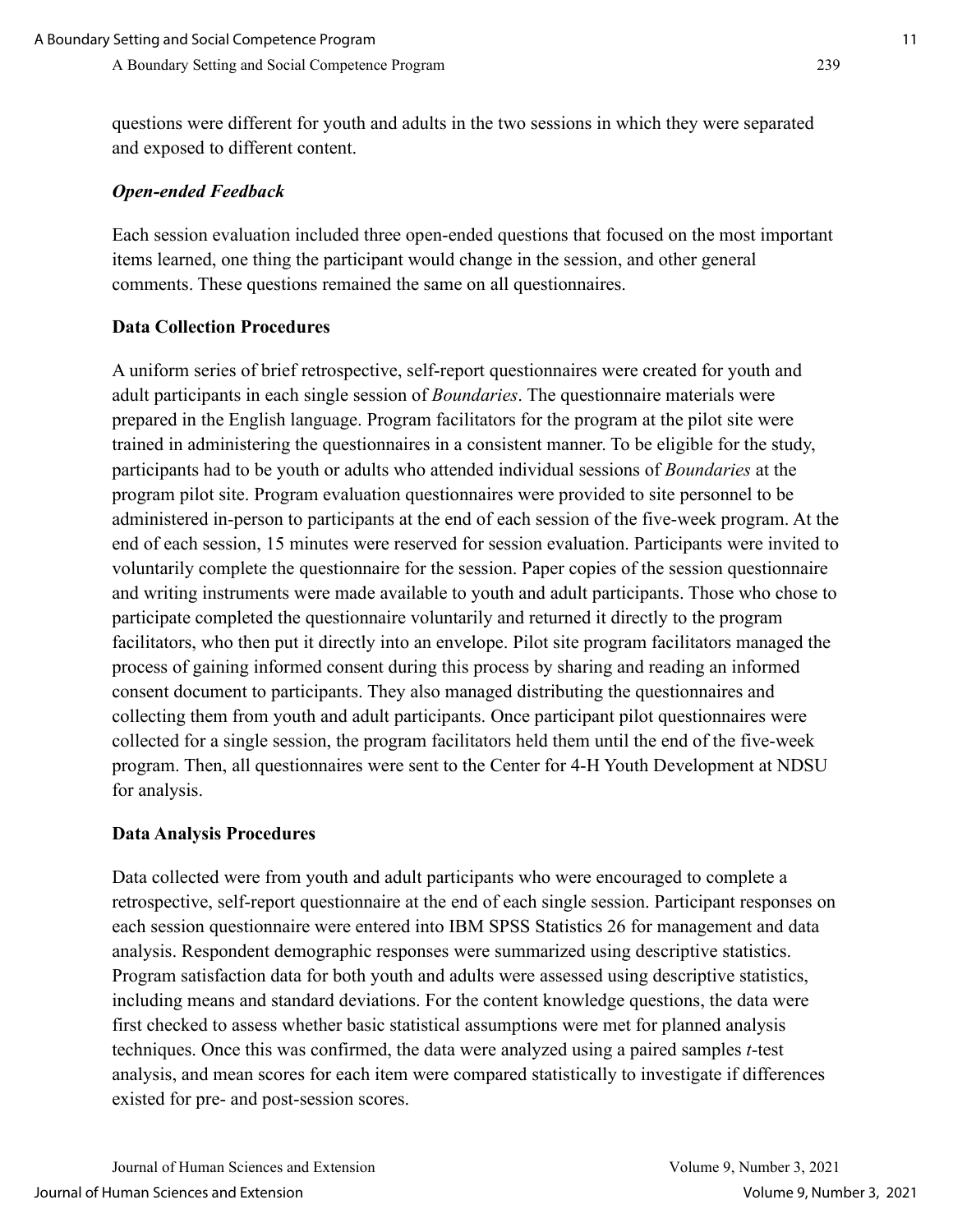questions were different for youth and adults in the two sessions in which they were separated and exposed to different content.

#### *Open-ended Feedback*

Each session evaluation included three open-ended questions that focused on the most important items learned, one thing the participant would change in the session, and other general comments. These questions remained the same on all questionnaires.

#### **Data Collection Procedures**

A uniform series of brief retrospective, self-report questionnaires were created for youth and adult participants in each single session of *Boundaries*. The questionnaire materials were prepared in the English language. Program facilitators for the program at the pilot site were trained in administering the questionnaires in a consistent manner. To be eligible for the study, participants had to be youth or adults who attended individual sessions of *Boundaries* at the program pilot site. Program evaluation questionnaires were provided to site personnel to be administered in-person to participants at the end of each session of the five-week program. At the end of each session, 15 minutes were reserved for session evaluation. Participants were invited to voluntarily complete the questionnaire for the session. Paper copies of the session questionnaire and writing instruments were made available to youth and adult participants. Those who chose to participate completed the questionnaire voluntarily and returned it directly to the program facilitators, who then put it directly into an envelope. Pilot site program facilitators managed the process of gaining informed consent during this process by sharing and reading an informed consent document to participants. They also managed distributing the questionnaires and collecting them from youth and adult participants. Once participant pilot questionnaires were collected for a single session, the program facilitators held them until the end of the five-week program. Then, all questionnaires were sent to the Center for 4-H Youth Development at NDSU for analysis.

#### **Data Analysis Procedures**

Data collected were from youth and adult participants who were encouraged to complete a retrospective, self-report questionnaire at the end of each single session. Participant responses on each session questionnaire were entered into IBM SPSS Statistics 26 for management and data analysis. Respondent demographic responses were summarized using descriptive statistics. Program satisfaction data for both youth and adults were assessed using descriptive statistics, including means and standard deviations. For the content knowledge questions, the data were first checked to assess whether basic statistical assumptions were met for planned analysis techniques. Once this was confirmed, the data were analyzed using a paired samples *t*-test analysis, and mean scores for each item were compared statistically to investigate if differences existed for pre- and post-session scores.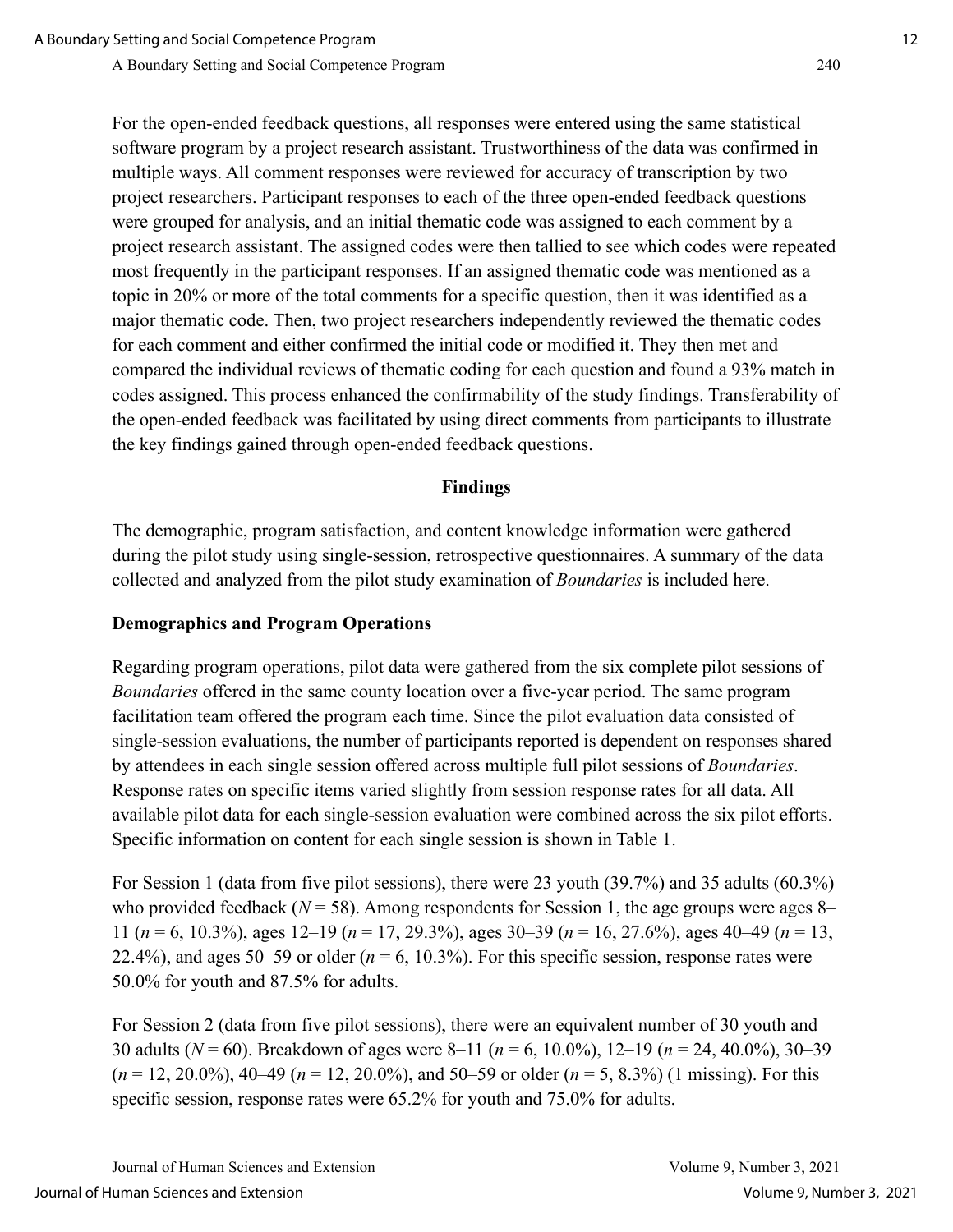For the open-ended feedback questions, all responses were entered using the same statistical software program by a project research assistant. Trustworthiness of the data was confirmed in multiple ways. All comment responses were reviewed for accuracy of transcription by two project researchers. Participant responses to each of the three open-ended feedback questions were grouped for analysis, and an initial thematic code was assigned to each comment by a project research assistant. The assigned codes were then tallied to see which codes were repeated most frequently in the participant responses. If an assigned thematic code was mentioned as a topic in 20% or more of the total comments for a specific question, then it was identified as a major thematic code. Then, two project researchers independently reviewed the thematic codes for each comment and either confirmed the initial code or modified it. They then met and compared the individual reviews of thematic coding for each question and found a 93% match in codes assigned. This process enhanced the confirmability of the study findings. Transferability of the open-ended feedback was facilitated by using direct comments from participants to illustrate the key findings gained through open-ended feedback questions.

## **Findings**

The demographic, program satisfaction, and content knowledge information were gathered during the pilot study using single-session, retrospective questionnaires. A summary of the data collected and analyzed from the pilot study examination of *Boundaries* is included here.

## **Demographics and Program Operations**

Regarding program operations, pilot data were gathered from the six complete pilot sessions of *Boundaries* offered in the same county location over a five-year period. The same program facilitation team offered the program each time. Since the pilot evaluation data consisted of single-session evaluations, the number of participants reported is dependent on responses shared by attendees in each single session offered across multiple full pilot sessions of *Boundaries*. Response rates on specific items varied slightly from session response rates for all data. All available pilot data for each single-session evaluation were combined across the six pilot efforts. Specific information on content for each single session is shown in Table 1.

For Session 1 (data from five pilot sessions), there were 23 youth (39.7%) and 35 adults (60.3%) who provided feedback ( $N = 58$ ). Among respondents for Session 1, the age groups were ages 8– 11 (*n* = 6, 10.3%), ages 12–19 (*n* = 17, 29.3%), ages 30–39 (*n* = 16, 27.6%), ages 40–49 (*n* = 13, 22.4%), and ages 50–59 or older ( $n = 6$ , 10.3%). For this specific session, response rates were 50.0% for youth and 87.5% for adults.

For Session 2 (data from five pilot sessions), there were an equivalent number of 30 youth and 30 adults (*N* = 60). Breakdown of ages were 8–11 (*n* = 6, 10.0%), 12–19 (*n* = 24, 40.0%), 30–39 (*n* = 12, 20.0%), 40–49 (*n* = 12, 20.0%), and 50–59 or older (*n* = 5, 8.3%) (1 missing). For this specific session, response rates were 65.2% for youth and 75.0% for adults.

Journal of Human Sciences and Extension Volume 9, Number 3, 2021 Journal of Human Sciences and Extension Volume 9, Number 3, 2021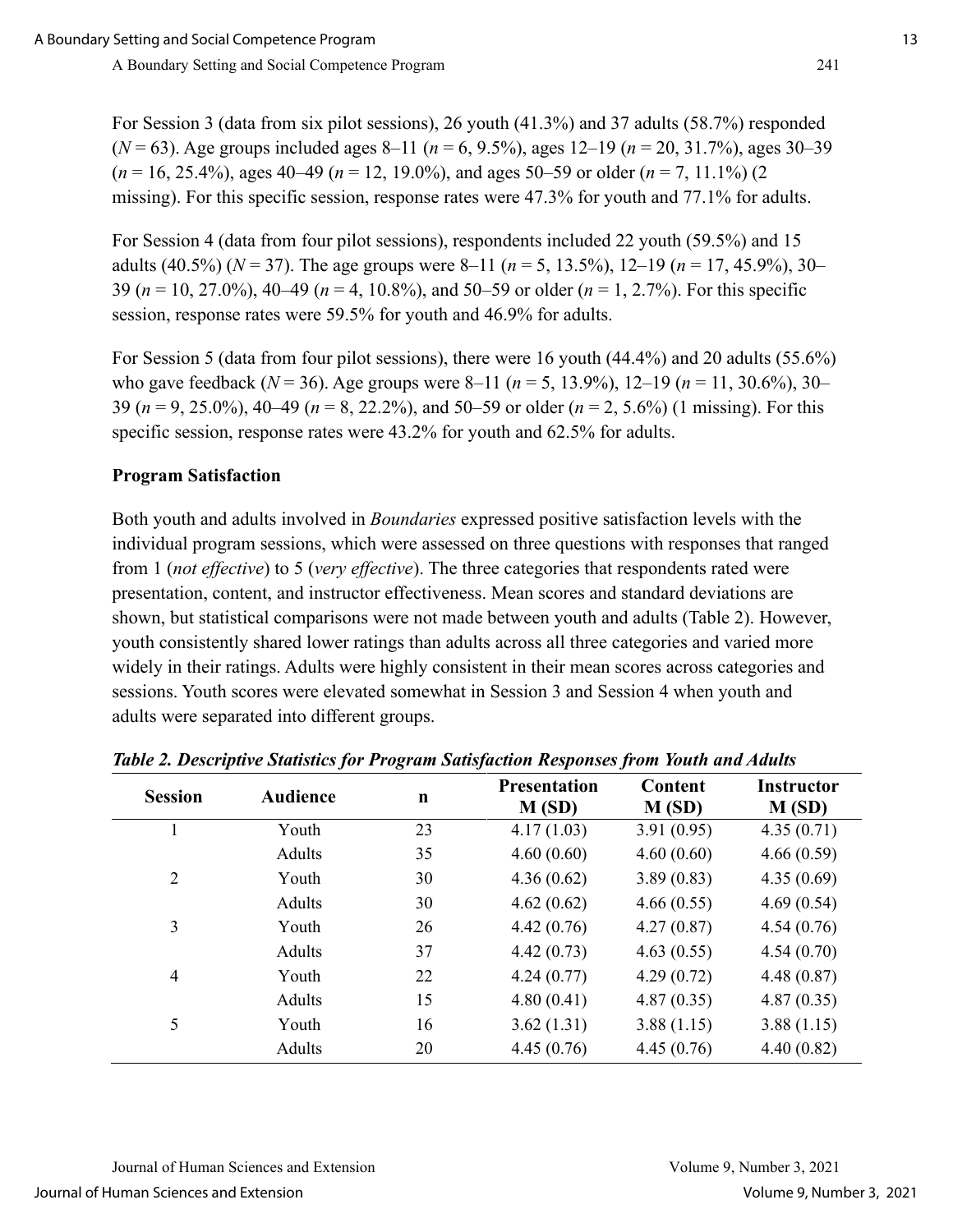For Session 3 (data from six pilot sessions), 26 youth (41.3%) and 37 adults (58.7%) responded (*N* = 63). Age groups included ages 8–11 (*n* = 6, 9.5%), ages 12–19 (*n* = 20, 31.7%), ages 30–39 (*n* = 16, 25.4%), ages 40–49 (*n* = 12, 19.0%), and ages 50–59 or older (*n* = 7, 11.1%) (2 missing). For this specific session, response rates were 47.3% for youth and 77.1% for adults.

For Session 4 (data from four pilot sessions), respondents included 22 youth (59.5%) and 15 adults (40.5%) (*N* = 37). The age groups were 8–11 (*n* = 5, 13.5%), 12–19 (*n* = 17, 45.9%), 30– 39 (*n* = 10, 27.0%), 40–49 (*n* = 4, 10.8%), and 50–59 or older (*n* = 1, 2.7%). For this specific session, response rates were 59.5% for youth and 46.9% for adults.

For Session 5 (data from four pilot sessions), there were 16 youth (44.4%) and 20 adults (55.6%) who gave feedback (*N* = 36). Age groups were 8–11 (*n* = 5, 13.9%), 12–19 (*n* = 11, 30.6%), 30– 39 (*n* = 9, 25.0%), 40–49 (*n* = 8, 22.2%), and 50–59 or older (*n* = 2, 5.6%) (1 missing). For this specific session, response rates were 43.2% for youth and 62.5% for adults.

### **Program Satisfaction**

Both youth and adults involved in *Boundaries* expressed positive satisfaction levels with the individual program sessions, which were assessed on three questions with responses that ranged from 1 (*not effective*) to 5 (*very effective*). The three categories that respondents rated were presentation, content, and instructor effectiveness. Mean scores and standard deviations are shown, but statistical comparisons were not made between youth and adults (Table 2). However, youth consistently shared lower ratings than adults across all three categories and varied more widely in their ratings. Adults were highly consistent in their mean scores across categories and sessions. Youth scores were elevated somewhat in Session 3 and Session 4 when youth and adults were separated into different groups.

| <b>Session</b> | <b>Audience</b> | n  | <b>Presentation</b><br>M(SD) | Content<br>M(SD) | <b>Instructor</b><br>M(SD) |
|----------------|-----------------|----|------------------------------|------------------|----------------------------|
|                | Youth           | 23 | 4.17(1.03)                   | 3.91(0.95)       | 4.35(0.71)                 |
|                | <b>Adults</b>   | 35 | 4.60(0.60)                   | 4.60(0.60)       | 4.66(0.59)                 |
| $\overline{2}$ | Youth           | 30 | 4.36(0.62)                   | 3.89(0.83)       | 4.35(0.69)                 |
|                | Adults          | 30 | 4.62(0.62)                   | 4.66(0.55)       | 4.69(0.54)                 |
| 3              | Youth           | 26 | 4.42(0.76)                   | 4.27(0.87)       | 4.54(0.76)                 |
|                | Adults          | 37 | 4.42(0.73)                   | 4.63(0.55)       | 4.54(0.70)                 |
| $\overline{4}$ | Youth           | 22 | 4.24(0.77)                   | 4.29(0.72)       | 4.48(0.87)                 |
|                | Adults          | 15 | 4.80(0.41)                   | 4.87(0.35)       | 4.87(0.35)                 |
| 5              | Youth           | 16 | 3.62(1.31)                   | 3.88(1.15)       | 3.88(1.15)                 |
|                | Adults          | 20 | 4.45(0.76)                   | 4.45(0.76)       | 4.40(0.82)                 |

*Table 2. Descriptive Statistics for Program Satisfaction Responses from Youth and Adults*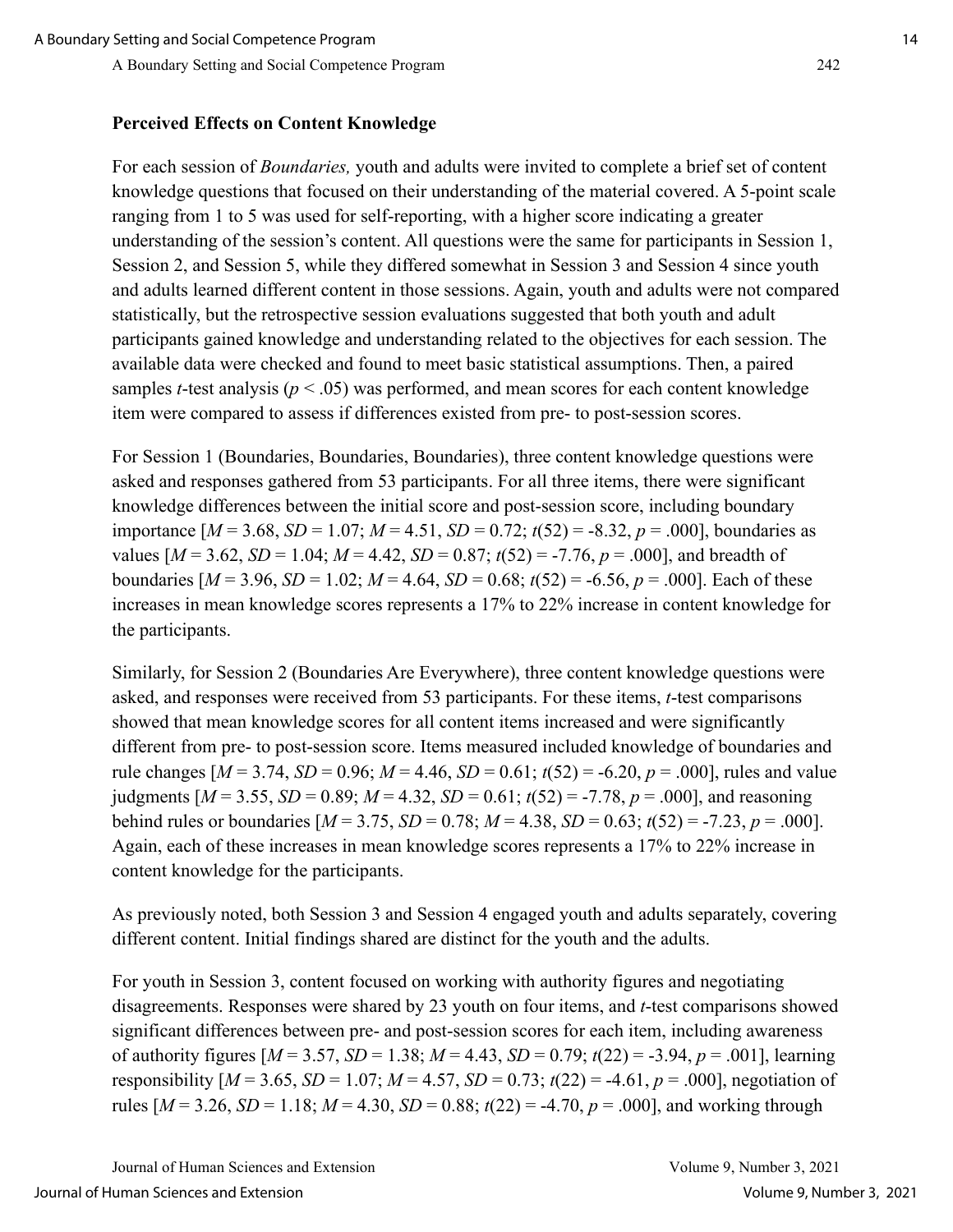#### **Perceived Effects on Content Knowledge**

For each session of *Boundaries,* youth and adults were invited to complete a brief set of content knowledge questions that focused on their understanding of the material covered. A 5-point scale ranging from 1 to 5 was used for self-reporting, with a higher score indicating a greater understanding of the session's content. All questions were the same for participants in Session 1, Session 2, and Session 5, while they differed somewhat in Session 3 and Session 4 since youth and adults learned different content in those sessions. Again, youth and adults were not compared statistically, but the retrospective session evaluations suggested that both youth and adult participants gained knowledge and understanding related to the objectives for each session. The available data were checked and found to meet basic statistical assumptions. Then, a paired samples *t*-test analysis ( $p < .05$ ) was performed, and mean scores for each content knowledge item were compared to assess if differences existed from pre- to post-session scores.

For Session 1 (Boundaries, Boundaries, Boundaries), three content knowledge questions were asked and responses gathered from 53 participants. For all three items, there were significant knowledge differences between the initial score and post-session score, including boundary importance  $[M = 3.68, SD = 1.07; M = 4.51, SD = 0.72; t(52) = -8.32, p = .000]$ , boundaries as values  $[M = 3.62, SD = 1.04; M = 4.42, SD = 0.87; t(52) = -7.76, p = .000]$ , and breadth of boundaries  $[M = 3.96, SD = 1.02; M = 4.64, SD = 0.68; t(52) = -6.56, p = .000]$ . Each of these increases in mean knowledge scores represents a 17% to 22% increase in content knowledge for the participants.

Similarly, for Session 2 (Boundaries Are Everywhere), three content knowledge questions were asked, and responses were received from 53 participants. For these items, *t*-test comparisons showed that mean knowledge scores for all content items increased and were significantly different from pre- to post-session score. Items measured included knowledge of boundaries and rule changes [*M* = 3.74, *SD* = 0.96; *M* = 4.46, *SD* = 0.61; *t*(52) = -6.20, *p* = .000], rules and value judgments  $[M = 3.55, SD = 0.89; M = 4.32, SD = 0.61; t(52) = -7.78, p = .000]$ , and reasoning behind rules or boundaries  $[M = 3.75, SD = 0.78; M = 4.38, SD = 0.63; t(52) = -7.23, p = .000$ . Again, each of these increases in mean knowledge scores represents a 17% to 22% increase in content knowledge for the participants.

As previously noted, both Session 3 and Session 4 engaged youth and adults separately, covering different content. Initial findings shared are distinct for the youth and the adults.

For youth in Session 3, content focused on working with authority figures and negotiating disagreements. Responses were shared by 23 youth on four items, and *t*-test comparisons showed significant differences between pre- and post-session scores for each item, including awareness of authority figures [*M* = 3.57, *SD* = 1.38; *M* = 4.43, *SD* = 0.79; *t*(22) = -3.94, *p* = .001], learning responsibility  $[M = 3.65, SD = 1.07; M = 4.57, SD = 0.73; t(22) = -4.61, p = .000$ , negotiation of rules  $[M = 3.26, SD = 1.18; M = 4.30, SD = 0.88; t(22) = -4.70, p = .000]$ , and working through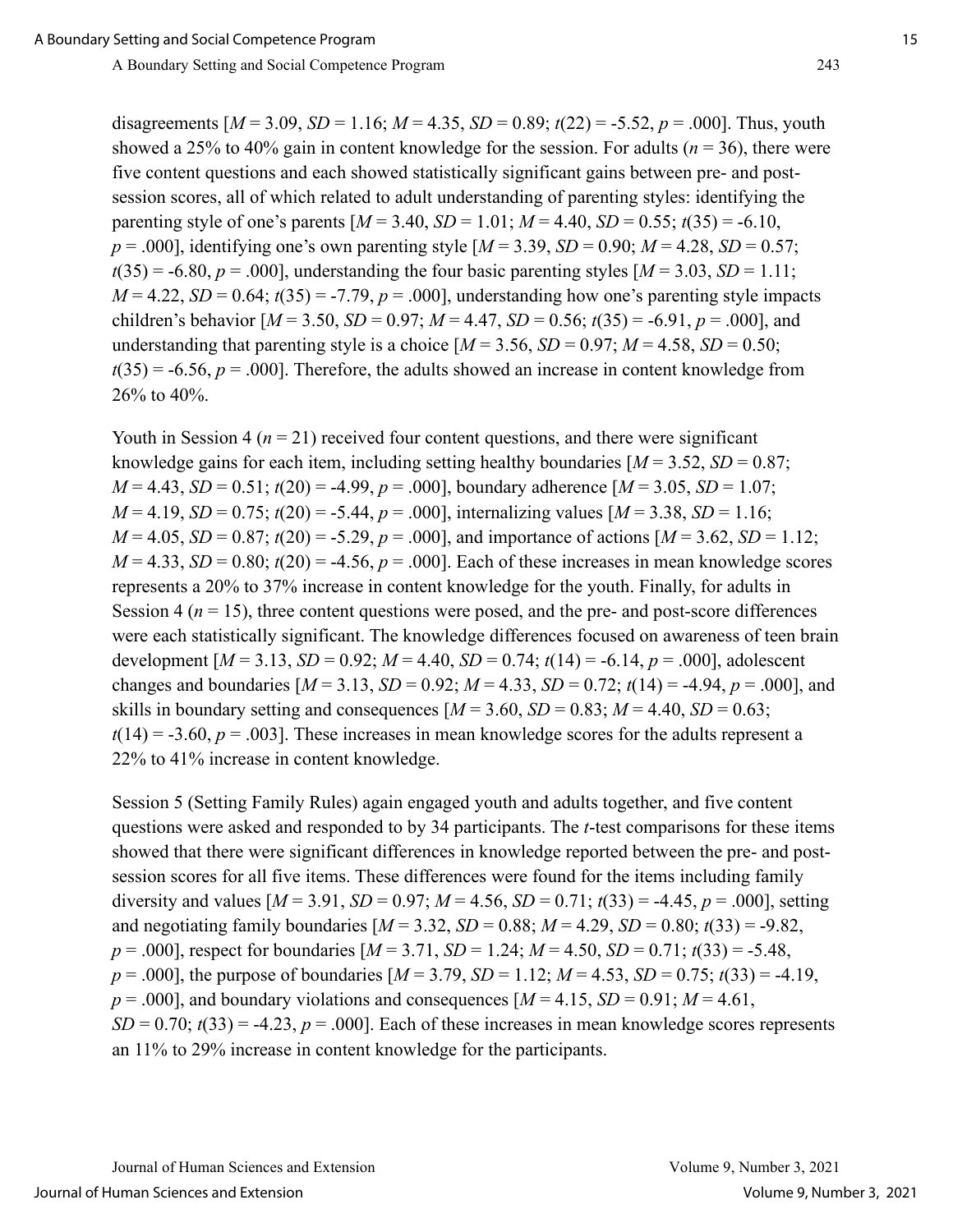disagreements  $[M = 3.09, SD = 1.16; M = 4.35, SD = 0.89; t(22) = -5.52, p = .000]$ . Thus, youth showed a 25% to 40% gain in content knowledge for the session. For adults ( $n = 36$ ), there were five content questions and each showed statistically significant gains between pre- and postsession scores, all of which related to adult understanding of parenting styles: identifying the parenting style of one's parents  $[M = 3.40, SD = 1.01; M = 4.40, SD = 0.55; t(35) = -6.10$ ,  $p = .000$ , identifying one's own parenting style  $[M = 3.39, SD = 0.90; M = 4.28, SD = 0.57;$  $t(35) = -6.80, p = .000$ , understanding the four basic parenting styles  $[M = 3.03, SD = 1.11;$  $M = 4.22$ ,  $SD = 0.64$ ;  $t(35) = -7.79$ ,  $p = .000$ , understanding how one's parenting style impacts children's behavior  $[M = 3.50, SD = 0.97; M = 4.47, SD = 0.56; t(35) = -6.91, p = .000]$ , and understanding that parenting style is a choice  $[M = 3.56, SD = 0.97; M = 4.58, SD = 0.50;$  $t(35) = -6.56$ ,  $p = .000$ . Therefore, the adults showed an increase in content knowledge from 26% to 40%.

Youth in Session  $4 (n = 21)$  received four content questions, and there were significant knowledge gains for each item, including setting healthy boundaries  $[M = 3.52, SD = 0.87;$  $M = 4.43$ ,  $SD = 0.51$ ;  $t(20) = -4.99$ ,  $p = .000$ ], boundary adherence  $M = 3.05$ ,  $SD = 1.07$ ;  $M = 4.19$ ,  $SD = 0.75$ ;  $t(20) = -5.44$ ,  $p = .000$ , internalizing values  $M = 3.38$ ,  $SD = 1.16$ ;  $M = 4.05$ ,  $SD = 0.87$ ;  $t(20) = -5.29$ ,  $p = .000$ ], and importance of actions  $M = 3.62$ ,  $SD = 1.12$ ;  $M = 4.33$ ,  $SD = 0.80$ ;  $t(20) = -4.56$ ,  $p = .000$ ]. Each of these increases in mean knowledge scores represents a 20% to 37% increase in content knowledge for the youth. Finally, for adults in Session  $4 (n = 15)$ , three content questions were posed, and the pre- and post-score differences were each statistically significant. The knowledge differences focused on awareness of teen brain development  $[M = 3.13, SD = 0.92; M = 4.40, SD = 0.74; t(14) = -6.14, p = .000]$ , adolescent changes and boundaries  $[M = 3.13, SD = 0.92; M = 4.33, SD = 0.72; t(14) = -4.94, p = .000]$ , and skills in boundary setting and consequences  $[M = 3.60, SD = 0.83; M = 4.40, SD = 0.63;$  $t(14) = -3.60, p = .003$ . These increases in mean knowledge scores for the adults represent a 22% to 41% increase in content knowledge.

Session 5 (Setting Family Rules) again engaged youth and adults together, and five content questions were asked and responded to by 34 participants. The *t*-test comparisons for these items showed that there were significant differences in knowledge reported between the pre- and postsession scores for all five items. These differences were found for the items including family diversity and values  $[M = 3.91, SD = 0.97; M = 4.56, SD = 0.71; t(33) = -4.45, p = .000$ , setting and negotiating family boundaries  $[M = 3.32, SD = 0.88; M = 4.29, SD = 0.80; t(33) = -9.82$ , *p* = .000], respect for boundaries [*M* = 3.71, *SD* = 1.24; *M* = 4.50, *SD* = 0.71; *t*(33) = -5.48, *p* = .000], the purpose of boundaries [*M* = 3.79, *SD* = 1.12; *M* = 4.53, *SD* = 0.75; *t*(33) = -4.19,  $p = .000$ ], and boundary violations and consequences  $[M = 4.15, SD = 0.91; M = 4.61]$ ,  $SD = 0.70$ ;  $t(33) = -4.23$ ,  $p = .000$ ]. Each of these increases in mean knowledge scores represents an 11% to 29% increase in content knowledge for the participants.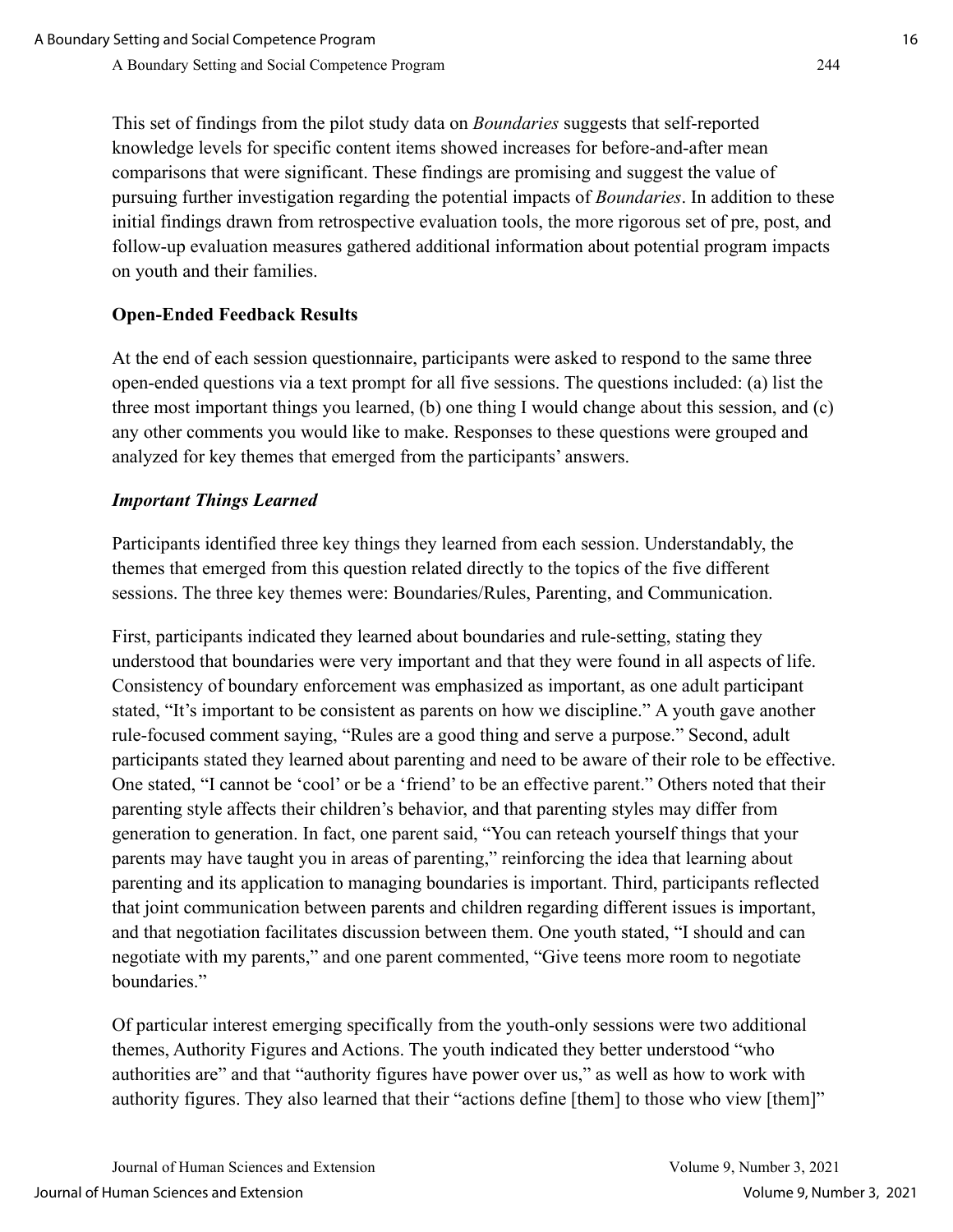This set of findings from the pilot study data on *Boundaries* suggests that self-reported knowledge levels for specific content items showed increases for before-and-after mean comparisons that were significant. These findings are promising and suggest the value of pursuing further investigation regarding the potential impacts of *Boundaries*. In addition to these initial findings drawn from retrospective evaluation tools, the more rigorous set of pre, post, and follow-up evaluation measures gathered additional information about potential program impacts on youth and their families.

## **Open-Ended Feedback Results**

At the end of each session questionnaire, participants were asked to respond to the same three open-ended questions via a text prompt for all five sessions. The questions included: (a) list the three most important things you learned, (b) one thing I would change about this session, and (c) any other comments you would like to make. Responses to these questions were grouped and analyzed for key themes that emerged from the participants' answers.

## *Important Things Learned*

Participants identified three key things they learned from each session. Understandably, the themes that emerged from this question related directly to the topics of the five different sessions. The three key themes were: Boundaries/Rules, Parenting, and Communication.

First, participants indicated they learned about boundaries and rule-setting, stating they understood that boundaries were very important and that they were found in all aspects of life. Consistency of boundary enforcement was emphasized as important, as one adult participant stated, "It's important to be consistent as parents on how we discipline." A youth gave another rule-focused comment saying, "Rules are a good thing and serve a purpose." Second, adult participants stated they learned about parenting and need to be aware of their role to be effective. One stated, "I cannot be 'cool' or be a 'friend' to be an effective parent." Others noted that their parenting style affects their children's behavior, and that parenting styles may differ from generation to generation. In fact, one parent said, "You can reteach yourself things that your parents may have taught you in areas of parenting," reinforcing the idea that learning about parenting and its application to managing boundaries is important. Third, participants reflected that joint communication between parents and children regarding different issues is important, and that negotiation facilitates discussion between them. One youth stated, "I should and can negotiate with my parents," and one parent commented, "Give teens more room to negotiate boundaries."

Of particular interest emerging specifically from the youth-only sessions were two additional themes, Authority Figures and Actions. The youth indicated they better understood "who authorities are" and that "authority figures have power over us," as well as how to work with authority figures. They also learned that their "actions define [them] to those who view [them]"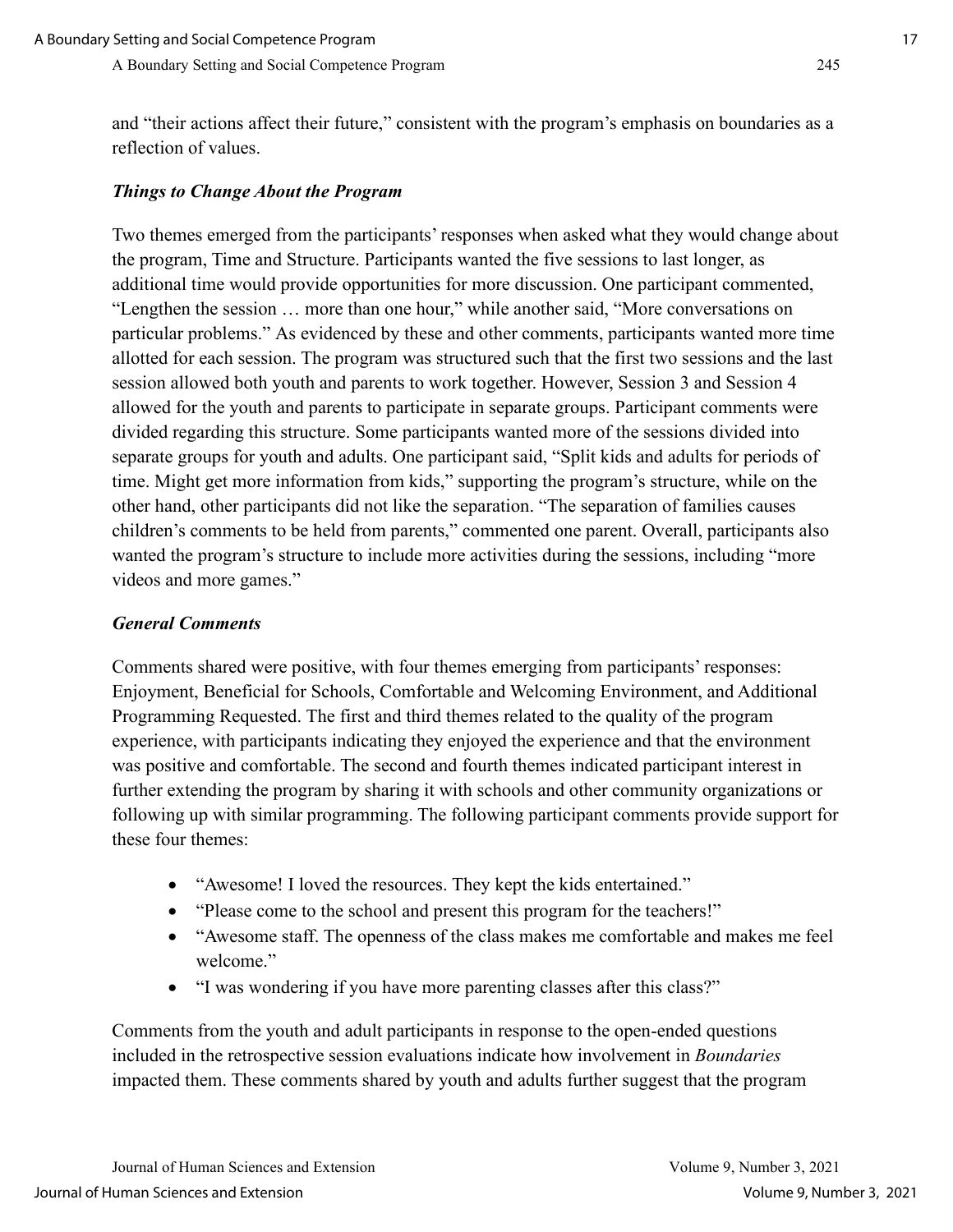and "their actions affect their future," consistent with the program's emphasis on boundaries as a reflection of values.

#### *Things to Change About the Program*

Two themes emerged from the participants' responses when asked what they would change about the program, Time and Structure. Participants wanted the five sessions to last longer, as additional time would provide opportunities for more discussion. One participant commented, "Lengthen the session … more than one hour," while another said, "More conversations on particular problems." As evidenced by these and other comments, participants wanted more time allotted for each session. The program was structured such that the first two sessions and the last session allowed both youth and parents to work together. However, Session 3 and Session 4 allowed for the youth and parents to participate in separate groups. Participant comments were divided regarding this structure. Some participants wanted more of the sessions divided into separate groups for youth and adults. One participant said, "Split kids and adults for periods of time. Might get more information from kids," supporting the program's structure, while on the other hand, other participants did not like the separation. "The separation of families causes children's comments to be held from parents," commented one parent. Overall, participants also wanted the program's structure to include more activities during the sessions, including "more videos and more games."

#### *General Comments*

Comments shared were positive, with four themes emerging from participants' responses: Enjoyment, Beneficial for Schools, Comfortable and Welcoming Environment, and Additional Programming Requested. The first and third themes related to the quality of the program experience, with participants indicating they enjoyed the experience and that the environment was positive and comfortable. The second and fourth themes indicated participant interest in further extending the program by sharing it with schools and other community organizations or following up with similar programming. The following participant comments provide support for these four themes:

- "Awesome! I loved the resources. They kept the kids entertained."
- "Please come to the school and present this program for the teachers!"
- "Awesome staff. The openness of the class makes me comfortable and makes me feel welcome."
- "I was wondering if you have more parenting classes after this class?"

Comments from the youth and adult participants in response to the open-ended questions included in the retrospective session evaluations indicate how involvement in *Boundaries* impacted them. These comments shared by youth and adults further suggest that the program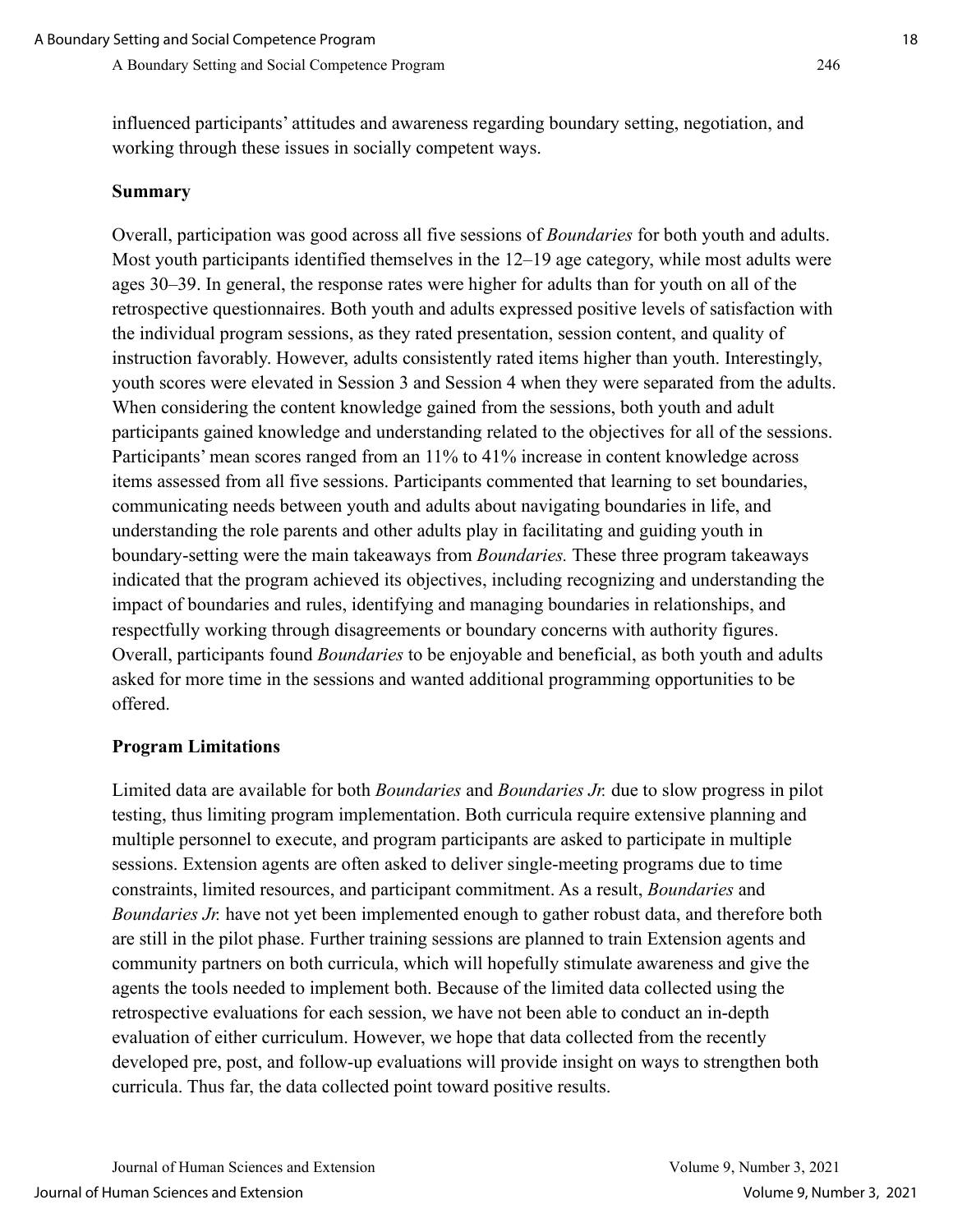influenced participants' attitudes and awareness regarding boundary setting, negotiation, and working through these issues in socially competent ways.

#### **Summary**

Overall, participation was good across all five sessions of *Boundaries* for both youth and adults. Most youth participants identified themselves in the 12–19 age category, while most adults were ages 30–39. In general, the response rates were higher for adults than for youth on all of the retrospective questionnaires. Both youth and adults expressed positive levels of satisfaction with the individual program sessions, as they rated presentation, session content, and quality of instruction favorably. However, adults consistently rated items higher than youth. Interestingly, youth scores were elevated in Session 3 and Session 4 when they were separated from the adults. When considering the content knowledge gained from the sessions, both youth and adult participants gained knowledge and understanding related to the objectives for all of the sessions. Participants' mean scores ranged from an 11% to 41% increase in content knowledge across items assessed from all five sessions. Participants commented that learning to set boundaries, communicating needs between youth and adults about navigating boundaries in life, and understanding the role parents and other adults play in facilitating and guiding youth in boundary-setting were the main takeaways from *Boundaries.* These three program takeaways indicated that the program achieved its objectives, including recognizing and understanding the impact of boundaries and rules, identifying and managing boundaries in relationships, and respectfully working through disagreements or boundary concerns with authority figures. Overall, participants found *Boundaries* to be enjoyable and beneficial, as both youth and adults asked for more time in the sessions and wanted additional programming opportunities to be offered.

#### **Program Limitations**

Limited data are available for both *Boundaries* and *Boundaries Jr.* due to slow progress in pilot testing, thus limiting program implementation. Both curricula require extensive planning and multiple personnel to execute, and program participants are asked to participate in multiple sessions. Extension agents are often asked to deliver single-meeting programs due to time constraints, limited resources, and participant commitment. As a result, *Boundaries* and *Boundaries Jr.* have not yet been implemented enough to gather robust data, and therefore both are still in the pilot phase. Further training sessions are planned to train Extension agents and community partners on both curricula, which will hopefully stimulate awareness and give the agents the tools needed to implement both. Because of the limited data collected using the retrospective evaluations for each session, we have not been able to conduct an in-depth evaluation of either curriculum. However, we hope that data collected from the recently developed pre, post, and follow-up evaluations will provide insight on ways to strengthen both curricula. Thus far, the data collected point toward positive results.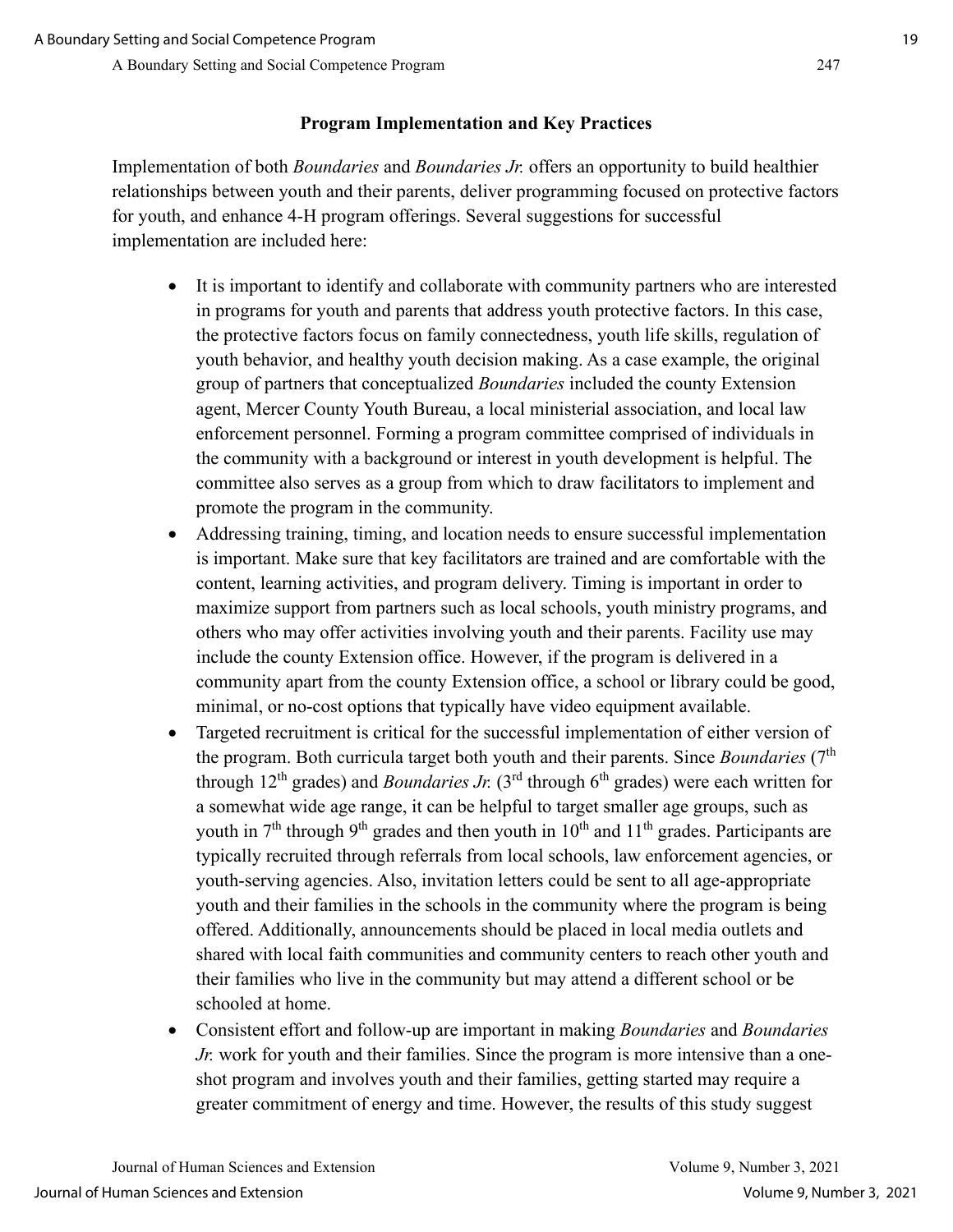## **Program Implementation and Key Practices**

Implementation of both *Boundaries* and *Boundaries Jr.* offers an opportunity to build healthier relationships between youth and their parents, deliver programming focused on protective factors for youth, and enhance 4-H program offerings. Several suggestions for successful implementation are included here:

- It is important to identify and collaborate with community partners who are interested in programs for youth and parents that address youth protective factors. In this case, the protective factors focus on family connectedness, youth life skills, regulation of youth behavior, and healthy youth decision making. As a case example, the original group of partners that conceptualized *Boundaries* included the county Extension agent, Mercer County Youth Bureau, a local ministerial association, and local law enforcement personnel. Forming a program committee comprised of individuals in the community with a background or interest in youth development is helpful. The committee also serves as a group from which to draw facilitators to implement and promote the program in the community.
- Addressing training, timing, and location needs to ensure successful implementation is important. Make sure that key facilitators are trained and are comfortable with the content, learning activities, and program delivery. Timing is important in order to maximize support from partners such as local schools, youth ministry programs, and others who may offer activities involving youth and their parents. Facility use may include the county Extension office. However, if the program is delivered in a community apart from the county Extension office, a school or library could be good, minimal, or no-cost options that typically have video equipment available.
- Targeted recruitment is critical for the successful implementation of either version of the program. Both curricula target both youth and their parents. Since *Boundaries* (7<sup>th</sup>) through 12<sup>th</sup> grades) and *Boundaries Jr.* (3<sup>rd</sup> through  $6<sup>th</sup>$  grades) were each written for a somewhat wide age range, it can be helpful to target smaller age groups, such as youth in  $7<sup>th</sup>$  through 9<sup>th</sup> grades and then youth in 10<sup>th</sup> and 11<sup>th</sup> grades. Participants are typically recruited through referrals from local schools, law enforcement agencies, or youth-serving agencies. Also, invitation letters could be sent to all age-appropriate youth and their families in the schools in the community where the program is being offered. Additionally, announcements should be placed in local media outlets and shared with local faith communities and community centers to reach other youth and their families who live in the community but may attend a different school or be schooled at home.
- Consistent effort and follow-up are important in making *Boundaries* and *Boundaries Jr.* work for youth and their families. Since the program is more intensive than a oneshot program and involves youth and their families, getting started may require a greater commitment of energy and time. However, the results of this study suggest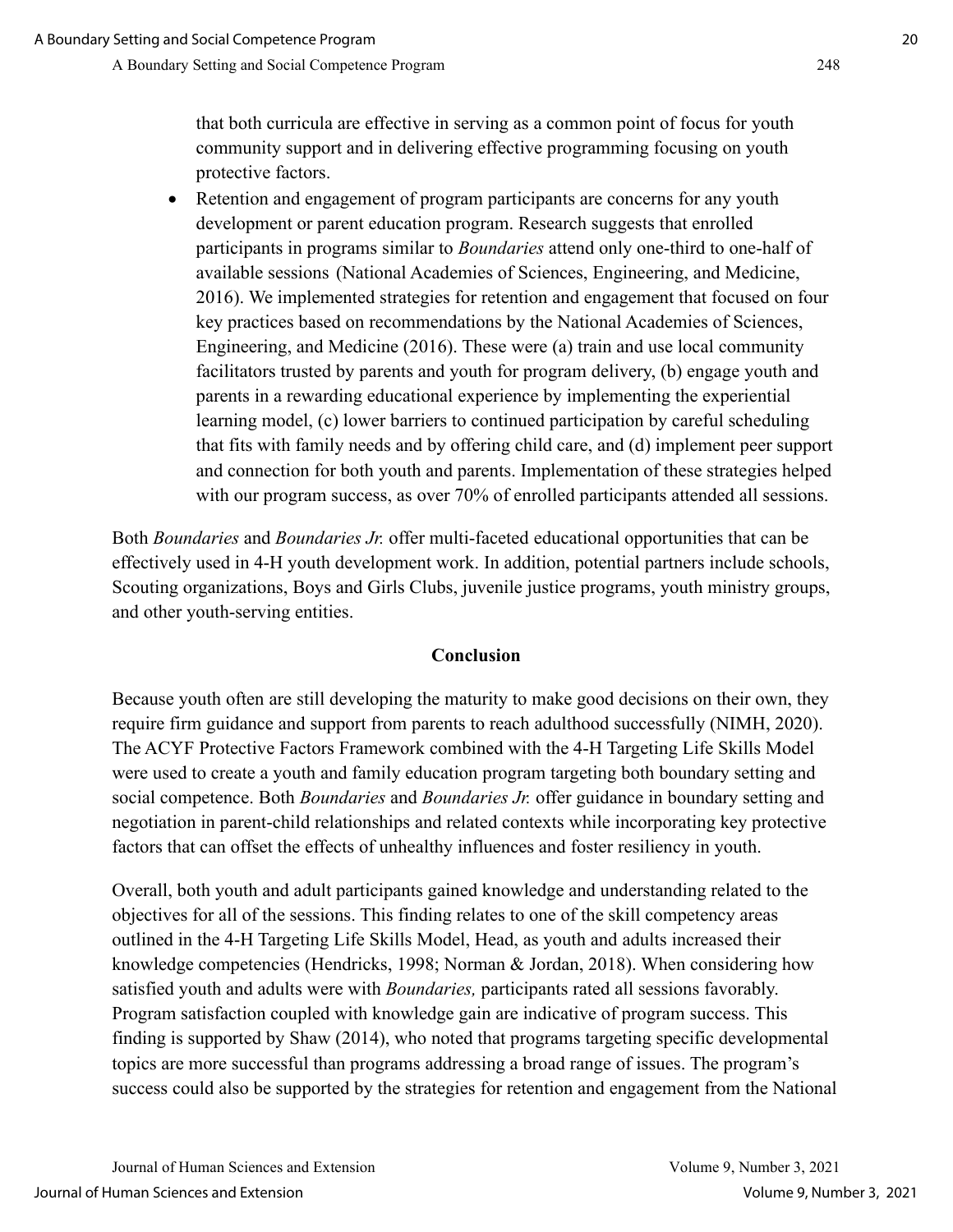that both curricula are effective in serving as a common point of focus for youth community support and in delivering effective programming focusing on youth protective factors.

• Retention and engagement of program participants are concerns for any youth development or parent education program. Research suggests that enrolled participants in programs similar to *Boundaries* attend only one-third to one-half of available sessions (National Academies of Sciences, Engineering, and Medicine, 2016). We implemented strategies for retention and engagement that focused on four key practices based on recommendations by the National Academies of Sciences, Engineering, and Medicine (2016). These were (a) train and use local community facilitators trusted by parents and youth for program delivery, (b) engage youth and parents in a rewarding educational experience by implementing the experiential learning model, (c) lower barriers to continued participation by careful scheduling that fits with family needs and by offering child care, and (d) implement peer support and connection for both youth and parents. Implementation of these strategies helped with our program success, as over 70% of enrolled participants attended all sessions.

Both *Boundaries* and *Boundaries Jr.* offer multi-faceted educational opportunities that can be effectively used in 4-H youth development work. In addition, potential partners include schools, Scouting organizations, Boys and Girls Clubs, juvenile justice programs, youth ministry groups, and other youth-serving entities.

#### **Conclusion**

Because youth often are still developing the maturity to make good decisions on their own, they require firm guidance and support from parents to reach adulthood successfully (NIMH, 2020). The ACYF Protective Factors Framework combined with the 4-H Targeting Life Skills Model were used to create a youth and family education program targeting both boundary setting and social competence. Both *Boundaries* and *Boundaries Jr.* offer guidance in boundary setting and negotiation in parent-child relationships and related contexts while incorporating key protective factors that can offset the effects of unhealthy influences and foster resiliency in youth.

Overall, both youth and adult participants gained knowledge and understanding related to the objectives for all of the sessions. This finding relates to one of the skill competency areas outlined in the 4-H Targeting Life Skills Model, Head, as youth and adults increased their knowledge competencies (Hendricks, 1998; Norman & Jordan, 2018). When considering how satisfied youth and adults were with *Boundaries,* participants rated all sessions favorably. Program satisfaction coupled with knowledge gain are indicative of program success. This finding is supported by Shaw (2014), who noted that programs targeting specific developmental topics are more successful than programs addressing a broad range of issues. The program's success could also be supported by the strategies for retention and engagement from the National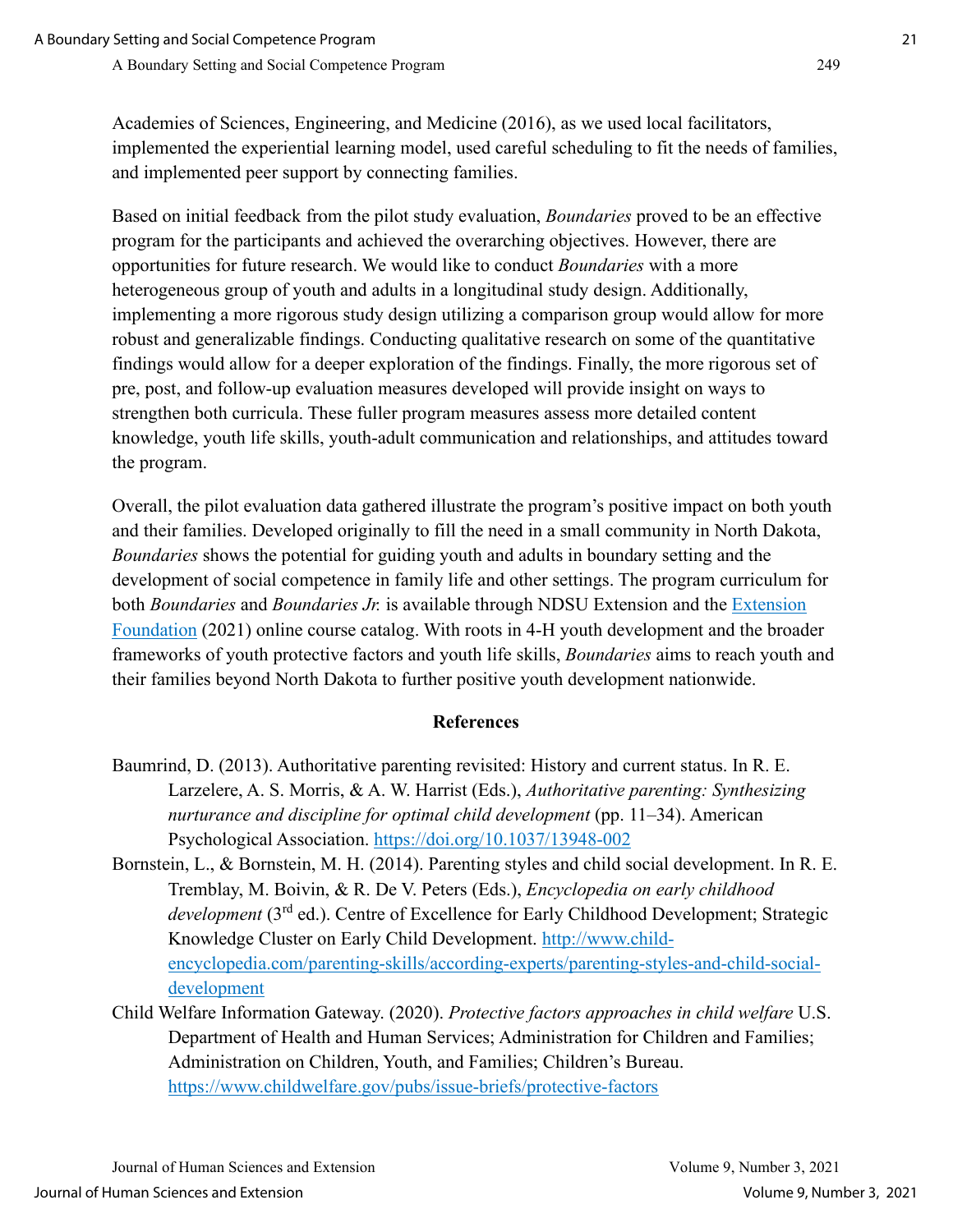Academies of Sciences, Engineering, and Medicine (2016), as we used local facilitators, implemented the experiential learning model, used careful scheduling to fit the needs of families, and implemented peer support by connecting families.

Based on initial feedback from the pilot study evaluation, *Boundaries* proved to be an effective program for the participants and achieved the overarching objectives. However, there are opportunities for future research. We would like to conduct *Boundaries* with a more heterogeneous group of youth and adults in a longitudinal study design. Additionally, implementing a more rigorous study design utilizing a comparison group would allow for more robust and generalizable findings. Conducting qualitative research on some of the quantitative findings would allow for a deeper exploration of the findings. Finally, the more rigorous set of pre, post, and follow-up evaluation measures developed will provide insight on ways to strengthen both curricula. These fuller program measures assess more detailed content knowledge, youth life skills, youth-adult communication and relationships, and attitudes toward the program.

Overall, the pilot evaluation data gathered illustrate the program's positive impact on both youth and their families. Developed originally to fill the need in a small community in North Dakota, *Boundaries* shows the potential for guiding youth and adults in boundary setting and the development of social competence in family life and other settings. The program curriculum for both *Boundaries* and *Boundaries Jr.* is available through NDSU Extension and the [Extension](https://catalog.extension.org/)  [Foundation](https://catalog.extension.org/) (2021) online course catalog. With roots in 4-H youth development and the broader frameworks of youth protective factors and youth life skills, *Boundaries* aims to reach youth and their families beyond North Dakota to further positive youth development nationwide.

#### **References**

- Baumrind, D. (2013). Authoritative parenting revisited: History and current status. In R. E. Larzelere, A. S. Morris, & A. W. Harrist (Eds.), *Authoritative parenting: Synthesizing nurturance and discipline for optimal child development* (pp. 11–34). American Psychological Association.<https://doi.org/10.1037/13948-002>
- Bornstein, L., & Bornstein, M. H. (2014). Parenting styles and child social development. In R. E. Tremblay, M. Boivin, & R. De V. Peters (Eds.), *Encyclopedia on early childhood development* (3<sup>rd</sup> ed.). Centre of Excellence for Early Childhood Development; Strategic Knowledge Cluster on Early Child Development. [http://www.child](http://www.child-encyclopedia.com/parenting-skills/according-experts/parenting-styles-and-child-social-development)[encyclopedia.com/parenting-skills/according-experts/parenting-styles-and-child-social](http://www.child-encyclopedia.com/parenting-skills/according-experts/parenting-styles-and-child-social-development)[development](http://www.child-encyclopedia.com/parenting-skills/according-experts/parenting-styles-and-child-social-development)
- Child Welfare Information Gateway. (2020). *Protective factors approaches in child welfare* U.S. Department of Health and Human Services; Administration for Children and Families; Administration on Children, Youth, and Families; Children's Bureau. <https://www.childwelfare.gov/pubs/issue-briefs/protective-factors>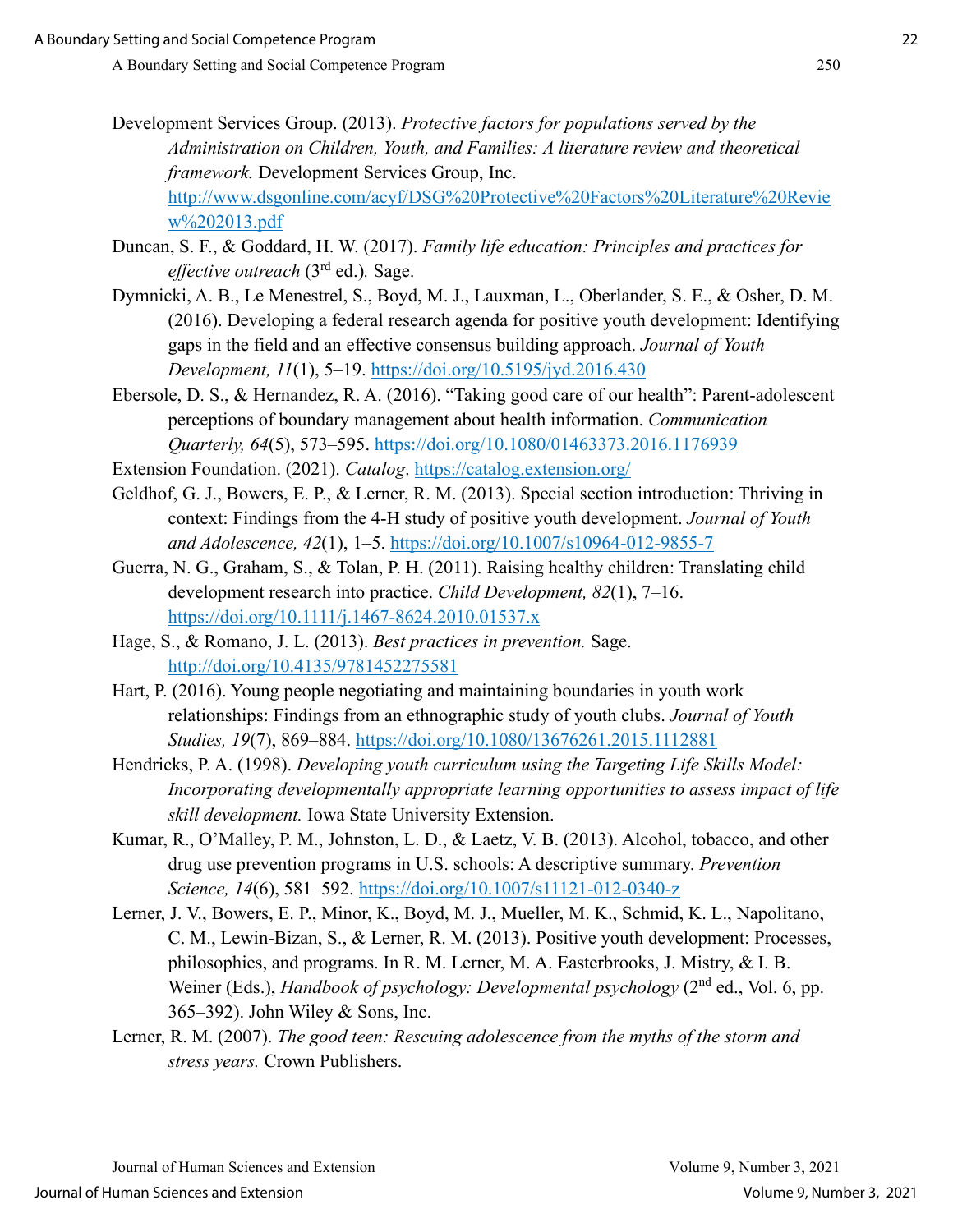[http://www.dsgonline.com/acyf/DSG%20Protective%20Factors%20Literature%20Revie](http://www.dsgonline.com/acyf/DSG%20Protective%20Factors%20Literature%20Review%202013.pdf) [w%202013.pdf](http://www.dsgonline.com/acyf/DSG%20Protective%20Factors%20Literature%20Review%202013.pdf)

- Duncan, S. F., & Goddard, H. W. (2017). *Family life education: Principles and practices for effective outreach* (3rd ed.)*.* Sage.
- Dymnicki, A. B., Le Menestrel, S., Boyd, M. J., Lauxman, L., Oberlander, S. E., & Osher, D. M. (2016). Developing a federal research agenda for positive youth development: Identifying gaps in the field and an effective consensus building approach. *Journal of Youth Development, 11*(1), 5–19.<https://doi.org/10.5195/jyd.2016.430>
- Ebersole, D. S., & Hernandez, R. A. (2016). "Taking good care of our health": Parent-adolescent perceptions of boundary management about health information. *Communication Quarterly, 64*(5), 573–595.<https://doi.org/10.1080/01463373.2016.1176939>

Extension Foundation. (2021). *Catalog*.<https://catalog.extension.org/>

- Geldhof, G. J., Bowers, E. P., & Lerner, R. M. (2013). Special section introduction: Thriving in context: Findings from the 4-H study of positive youth development. *Journal of Youth and Adolescence, 42*(1), 1–5.<https://doi.org/10.1007/s10964-012-9855-7>
- Guerra, N. G., Graham, S., & Tolan, P. H. (2011). Raising healthy children: Translating child development research into practice. *Child Development, 82*(1), 7–16. <https://doi.org/10.1111/j.1467-8624.2010.01537.x>
- Hage, S., & Romano, J. L. (2013). *Best practices in prevention.* Sage. <http://doi.org/10.4135/9781452275581>
- Hart, P. (2016). Young people negotiating and maintaining boundaries in youth work relationships: Findings from an ethnographic study of youth clubs. *Journal of Youth Studies, 19*(7), 869–884.<https://doi.org/10.1080/13676261.2015.1112881>

Hendricks, P. A. (1998). *Developing youth curriculum using the Targeting Life Skills Model: Incorporating developmentally appropriate learning opportunities to assess impact of life skill development.* Iowa State University Extension.

- Kumar, R., O'Malley, P. M., Johnston, L. D., & Laetz, V. B. (2013). Alcohol, tobacco, and other drug use prevention programs in U.S. schools: A descriptive summary. *Prevention Science, 14*(6), 581–592.<https://doi.org/10.1007/s11121-012-0340-z>
- Lerner, J. V., Bowers, E. P., Minor, K., Boyd, M. J., Mueller, M. K., Schmid, K. L., Napolitano, C. M., Lewin-Bizan, S., & Lerner, R. M. (2013). Positive youth development: Processes, philosophies, and programs. In R. M. Lerner, M. A. Easterbrooks, J. Mistry, & I. B. Weiner (Eds.), *Handbook of psychology: Developmental psychology* (2<sup>nd</sup> ed., Vol. 6, pp. 365–392). John Wiley & Sons, Inc.
- Lerner, R. M. (2007). *The good teen: Rescuing adolescence from the myths of the storm and stress years.* Crown Publishers.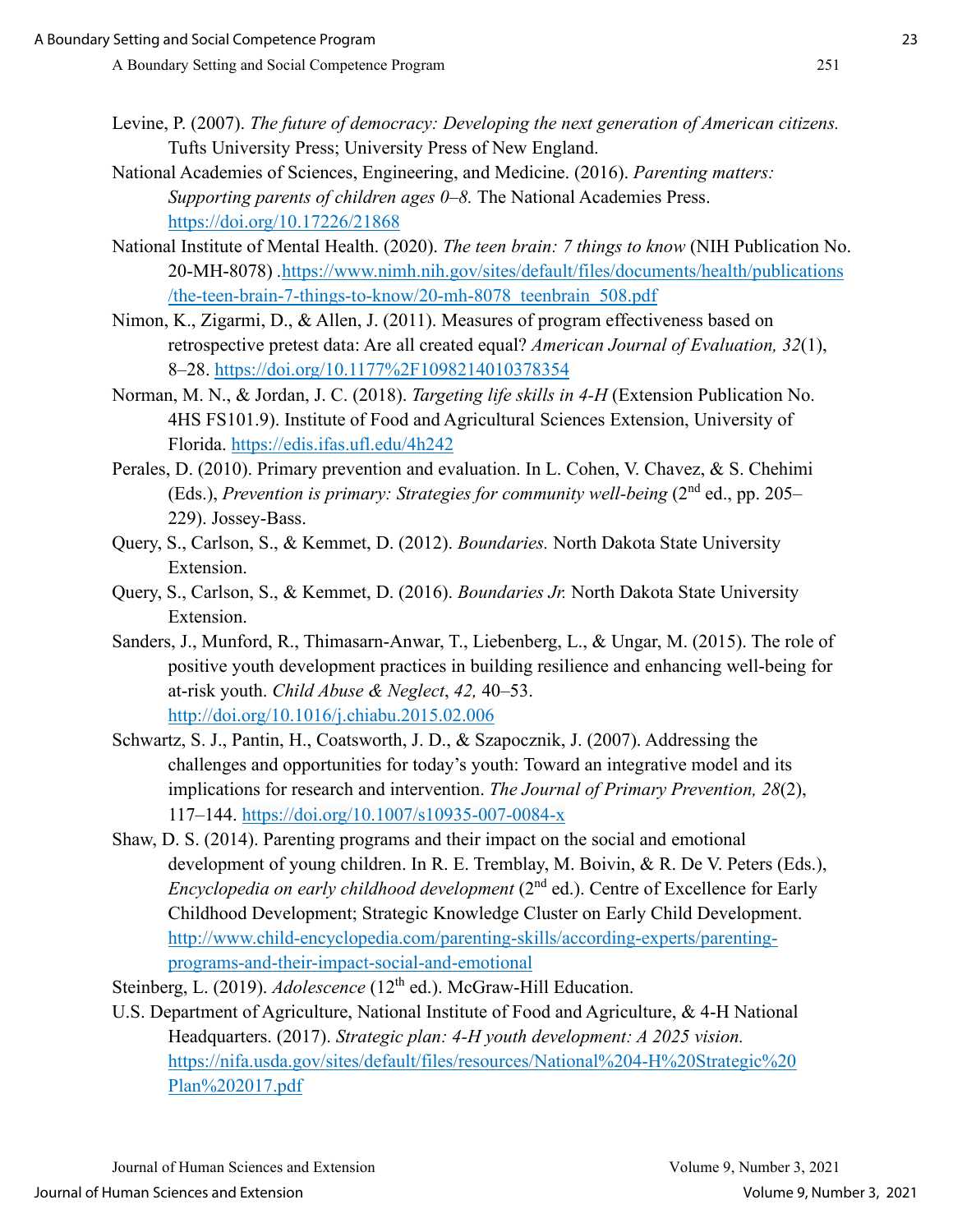- Levine, P. (2007). *The future of democracy: Developing the next generation of American citizens.* Tufts University Press; University Press of New England.
- National Academies of Sciences, Engineering, and Medicine. (2016). *Parenting matters: Supporting parents of children ages 0–8.* The National Academies Press. <https://doi.org/10.17226/21868>
- National Institute of Mental Health. (2020). *The teen brain: 7 things to know* (NIH Publication No. 20-MH-8078) *.*[https://www.nimh.nih.gov/sites/default/files/documents/health/publications](https://www.nimh.nih.gov/sites/default/files/documents/health/publications/the-teen-brain-7-things-to-know/20-mh-8078_teenbrain_508.pdf) [/the-teen-brain-7-things-to-know/20-mh-8078\\_teenbrain\\_508.pdf](https://www.nimh.nih.gov/sites/default/files/documents/health/publications/the-teen-brain-7-things-to-know/20-mh-8078_teenbrain_508.pdf)
- Nimon, K., Zigarmi, D., & Allen, J. (2011). Measures of program effectiveness based on retrospective pretest data: Are all created equal? *American Journal of Evaluation, 32*(1), 8–28.<https://doi.org/10.1177%2F1098214010378354>
- Norman, M. N., & Jordan, J. C. (2018). *Targeting life skills in 4-H* (Extension Publication No. 4HS FS101.9). Institute of Food and Agricultural Sciences Extension, University of Florida.<https://edis.ifas.ufl.edu/4h242>
- Perales, D. (2010). Primary prevention and evaluation. In L. Cohen, V. Chavez, & S. Chehimi (Eds.), *Prevention is primary: Strategies for community well-being* (2nd ed., pp. 205– 229). Jossey-Bass.
- Query, S., Carlson, S., & Kemmet, D. (2012). *Boundaries.* North Dakota State University Extension.
- Query, S., Carlson, S., & Kemmet, D. (2016). *Boundaries Jr.* North Dakota State University Extension.
- Sanders, J., Munford, R., Thimasarn-Anwar, T., Liebenberg, L., & Ungar, M. (2015). The role of positive youth development practices in building resilience and enhancing well-being for at-risk youth. *Child Abuse & Neglect*, *42,* 40–53. <http://doi.org/10.1016/j.chiabu.2015.02.006>
- Schwartz, S. J., Pantin, H., Coatsworth, J. D., & Szapocznik, J. (2007). Addressing the challenges and opportunities for today's youth: Toward an integrative model and its implications for research and intervention. *The Journal of Primary Prevention, 28*(2), 117–144.<https://doi.org/10.1007/s10935-007-0084-x>
- Shaw, D. S. (2014). Parenting programs and their impact on the social and emotional development of young children. In R. E. Tremblay, M. Boivin, & R. De V. Peters (Eds.), *Encyclopedia on early childhood development* (2<sup>nd</sup> ed.). Centre of Excellence for Early Childhood Development; Strategic Knowledge Cluster on Early Child Development. [http://www.child-encyclopedia.com/parenting-skills/according-experts/parenting](http://www.child-encyclopedia.com/parenting-skills/according-experts/parenting-programs-and-their-impact-social-and-emotional)[programs-and-their-impact-social-and-emotional](http://www.child-encyclopedia.com/parenting-skills/according-experts/parenting-programs-and-their-impact-social-and-emotional)
- Steinberg, L. (2019). *Adolescence* (12<sup>th</sup> ed.). McGraw-Hill Education.
- U.S. Department of Agriculture, National Institute of Food and Agriculture, & 4-H National Headquarters. (2017). *Strategic plan: 4-H youth development: A 2025 vision.*  [https://nifa.usda.gov/sites/default/files/resources/National%204-H%20Strategic%20](https://nifa.usda.gov/sites/default/files/resources/National%204-H%20Strategic%20Plan%202017.pdf)  [Plan%202017.pdf](https://nifa.usda.gov/sites/default/files/resources/National%204-H%20Strategic%20Plan%202017.pdf)